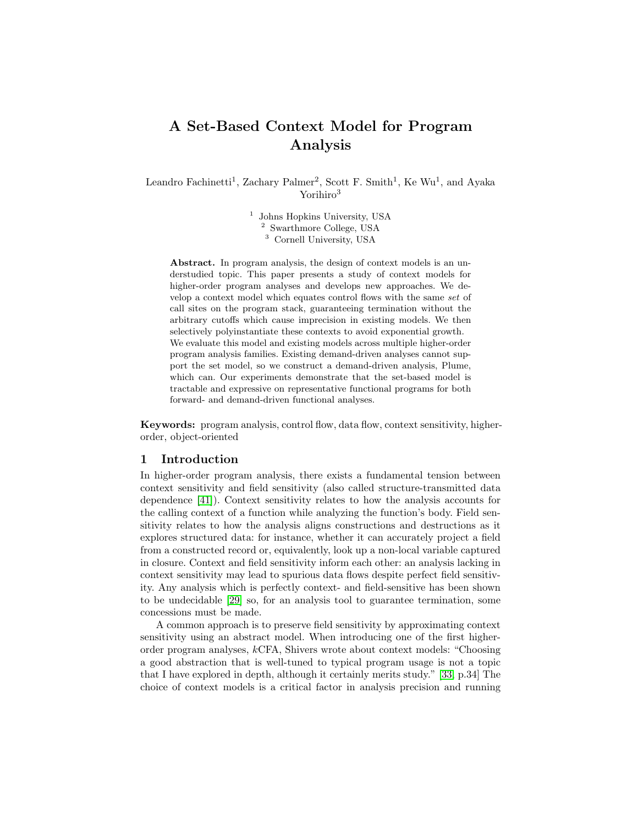# A Set-Based Context Model for Program Analysis

Leandro Fachinetti<sup>1</sup>, Zachary Palmer<sup>2</sup>, Scott F. Smith<sup>1</sup>, Ke Wu<sup>1</sup>, and Ayaka Yorihiro<sup>3</sup>

> <sup>1</sup> Johns Hopkins University, USA <sup>2</sup> Swarthmore College, USA <sup>3</sup> Cornell University, USA

Abstract. In program analysis, the design of context models is an understudied topic. This paper presents a study of context models for higher-order program analyses and develops new approaches. We develop a context model which equates control flows with the same set of call sites on the program stack, guaranteeing termination without the arbitrary cutoffs which cause imprecision in existing models. We then selectively polyinstantiate these contexts to avoid exponential growth. We evaluate this model and existing models across multiple higher-order program analysis families. Existing demand-driven analyses cannot support the set model, so we construct a demand-driven analysis, Plume, which can. Our experiments demonstrate that the set-based model is tractable and expressive on representative functional programs for both forward- and demand-driven functional analyses.

Keywords: program analysis, control flow, data flow, context sensitivity, higherorder, object-oriented

# 1 Introduction

In higher-order program analysis, there exists a fundamental tension between context sensitivity and field sensitivity (also called structure-transmitted data dependence [\[41\]](#page-19-0)). Context sensitivity relates to how the analysis accounts for the calling context of a function while analyzing the function's body. Field sensitivity relates to how the analysis aligns constructions and destructions as it explores structured data: for instance, whether it can accurately project a field from a constructed record or, equivalently, look up a non-local variable captured in closure. Context and field sensitivity inform each other: an analysis lacking in context sensitivity may lead to spurious data flows despite perfect field sensitivity. Any analysis which is perfectly context- and field-sensitive has been shown to be undecidable [\[29\]](#page-18-0) so, for an analysis tool to guarantee termination, some concessions must be made.

A common approach is to preserve field sensitivity by approximating context sensitivity using an abstract model. When introducing one of the first higherorder program analyses, kCFA, Shivers wrote about context models: "Choosing a good abstraction that is well-tuned to typical program usage is not a topic that I have explored in depth, although it certainly merits study." [\[33,](#page-18-1) p.34] The choice of context models is a critical factor in analysis precision and running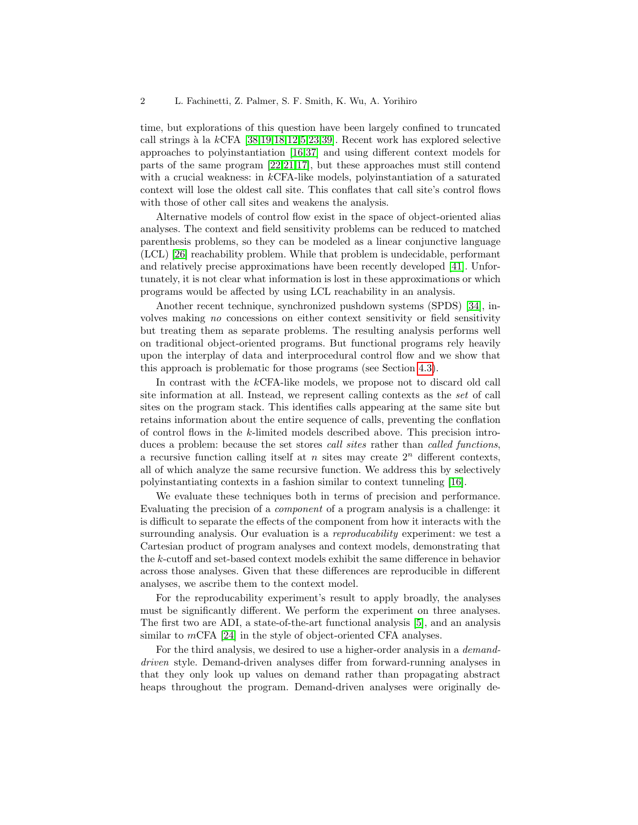time, but explorations of this question have been largely confined to truncated call strings à la kCFA  $[38,19,18,12,5,23,39]$  $[38,19,18,12,5,23,39]$  $[38,19,18,12,5,23,39]$  $[38,19,18,12,5,23,39]$  $[38,19,18,12,5,23,39]$  $[38,19,18,12,5,23,39]$  $[38,19,18,12,5,23,39]$ . Recent work has explored selective approaches to polyinstantiation [\[16,](#page-18-6)[37\]](#page-19-3) and using different context models for parts of the same program [\[22](#page-18-7)[,21,](#page-18-8)[17\]](#page-18-9), but these approaches must still contend with a crucial weakness: in kCFA-like models, polyinstantiation of a saturated context will lose the oldest call site. This conflates that call site's control flows with those of other call sites and weakens the analysis.

Alternative models of control flow exist in the space of object-oriented alias analyses. The context and field sensitivity problems can be reduced to matched parenthesis problems, so they can be modeled as a linear conjunctive language (LCL) [\[26\]](#page-18-10) reachability problem. While that problem is undecidable, performant and relatively precise approximations have been recently developed [\[41\]](#page-19-0). Unfortunately, it is not clear what information is lost in these approximations or which programs would be affected by using LCL reachability in an analysis.

Another recent technique, synchronized pushdown systems (SPDS) [\[34\]](#page-18-11), involves making no concessions on either context sensitivity or field sensitivity but treating them as separate problems. The resulting analysis performs well on traditional object-oriented programs. But functional programs rely heavily upon the interplay of data and interprocedural control flow and we show that this approach is problematic for those programs (see Section [4.3\)](#page-14-0).

In contrast with the kCFA-like models, we propose not to discard old call site information at all. Instead, we represent calling contexts as the set of call sites on the program stack. This identifies calls appearing at the same site but retains information about the entire sequence of calls, preventing the conflation of control flows in the k-limited models described above. This precision introduces a problem: because the set stores *call sites* rather than *called functions*, a recursive function calling itself at n sites may create  $2<sup>n</sup>$  different contexts, all of which analyze the same recursive function. We address this by selectively polyinstantiating contexts in a fashion similar to context tunneling [\[16\]](#page-18-6).

We evaluate these techniques both in terms of precision and performance. Evaluating the precision of a component of a program analysis is a challenge: it is difficult to separate the effects of the component from how it interacts with the surrounding analysis. Our evaluation is a reproducability experiment: we test a Cartesian product of program analyses and context models, demonstrating that the k-cutoff and set-based context models exhibit the same difference in behavior across those analyses. Given that these differences are reproducible in different analyses, we ascribe them to the context model.

For the reproducability experiment's result to apply broadly, the analyses must be significantly different. We perform the experiment on three analyses. The first two are ADI, a state-of-the-art functional analysis [\[5\]](#page-17-0), and an analysis similar to *m*CFA [\[24\]](#page-18-12) in the style of object-oriented CFA analyses.

For the third analysis, we desired to use a higher-order analysis in a demanddriven style. Demand-driven analyses differ from forward-running analyses in that they only look up values on demand rather than propagating abstract heaps throughout the program. Demand-driven analyses were originally de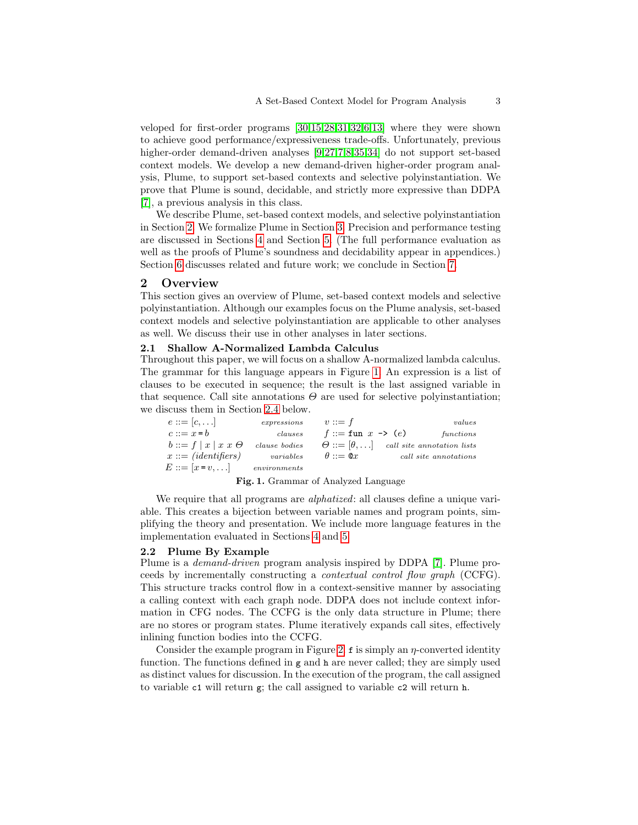veloped for first-order programs [\[30,](#page-18-13)[15](#page-18-14)[,28,](#page-18-15)[31,](#page-18-16)[32,](#page-18-17)[6](#page-17-1)[,13\]](#page-18-18) where they were shown to achieve good performance/expressiveness trade-offs. Unfortunately, previous higher-order demand-driven analyses [\[9,](#page-18-19)[27,](#page-18-20)[7](#page-17-2)[,8,](#page-17-3)[35,](#page-19-4)[34\]](#page-18-11) do not support set-based context models. We develop a new demand-driven higher-order program analysis, Plume, to support set-based contexts and selective polyinstantiation. We prove that Plume is sound, decidable, and strictly more expressive than DDPA [\[7\]](#page-17-2), a previous analysis in this class.

We describe Plume, set-based context models, and selective polyinstantiation in Section [2.](#page-2-0) We formalize Plume in Section [3.](#page-6-0) Precision and performance testing are discussed in Sections [4](#page-10-0) and Section [5.](#page-14-1) (The full performance evaluation as well as the proofs of Plume's soundness and decidability appear in appendices.) Section [6](#page-15-0) discusses related and future work; we conclude in Section [7.](#page-17-4)

### <span id="page-2-0"></span>2 Overview

This section gives an overview of Plume, set-based context models and selective polyinstantiation. Although our examples focus on the Plume analysis, set-based context models and selective polyinstantiation are applicable to other analyses as well. We discuss their use in other analyses in later sections.

### 2.1 Shallow A-Normalized Lambda Calculus

Throughout this paper, we will focus on a shallow A-normalized lambda calculus. The grammar for this language appears in Figure [1.](#page-2-1) An expression is a list of clauses to be executed in sequence; the result is the last assigned variable in that sequence. Call site annotations  $\Theta$  are used for selective polyinstantiation; we discuss them in Section [2.4](#page-5-0) below.

| $e ::= [c, \ldots]$        | expressions   | $v ::= f$                                | values                                                   |
|----------------------------|---------------|------------------------------------------|----------------------------------------------------------|
| $c ::= x = b$              | clauses       | $f ::= \texttt{fun} \ x \rightarrow (e)$ | functions                                                |
| $b ::= f   x   x x \Theta$ | clause bodies |                                          | $\Theta ::= [\theta, \ldots]$ call site annotation lists |
| $x ::= (identifiers)$      | variables     | $\theta ::= \mathbf{e} x$                | call site annotations                                    |
| $E ::= [x = v, \ldots]$    | environments  |                                          |                                                          |

<span id="page-2-1"></span>

We require that all programs are *alphatized*: all clauses define a unique variable. This creates a bijection between variable names and program points, simplifying the theory and presentation. We include more language features in the implementation evaluated in Sections [4](#page-10-0) and [5.](#page-14-1)

#### <span id="page-2-2"></span>2.2 Plume By Example

Plume is a demand-driven program analysis inspired by DDPA [\[7\]](#page-17-2). Plume proceeds by incrementally constructing a contextual control flow graph (CCFG). This structure tracks control flow in a context-sensitive manner by associating a calling context with each graph node. DDPA does not include context information in CFG nodes. The CCFG is the only data structure in Plume; there are no stores or program states. Plume iteratively expands call sites, effectively inlining function bodies into the CCFG.

Consider the example program in Figure [2.](#page-3-0)  $\mathbf f$  is simply an  $\eta$ -converted identity function. The functions defined in  $g$  and  $h$  are never called; they are simply used as distinct values for discussion. In the execution of the program, the call assigned to variable c1 will return g; the call assigned to variable c2 will return h.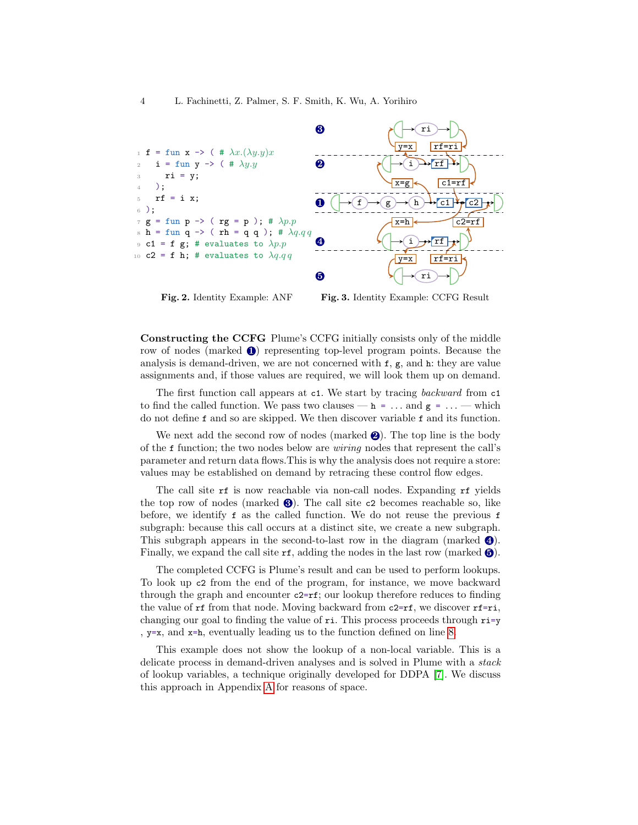

<span id="page-3-2"></span><span id="page-3-1"></span><span id="page-3-0"></span>Fig. 2. Identity Example: ANF Fig. 3. Identity Example: CCFG Result

<span id="page-3-3"></span>Constructing the CCFG Plume's CCFG initially consists only of the middle row of nodes (marked  $\bullet$ ) representing top-level program points. Because the analysis is demand-driven, we are not concerned with f, g, and h: they are value assignments and, if those values are required, we will look them up on demand.

The first function call appears at c1. We start by tracing *backward* from c1 to find the called function. We pass two clauses —  $h = \ldots$  and  $g = \ldots$  — which do not define f and so are skipped. We then discover variable f and its function.

We next add the second row of nodes (marked  $\bigcirc$ ). The top line is the body of the f function; the two nodes below are wiring nodes that represent the call's parameter and return data flows.This is why the analysis does not require a store: values may be established on demand by retracing these control flow edges.

The call site rf is now reachable via non-call nodes. Expanding rf yields the top row of nodes (marked  $\bullet$ ). The call site c2 becomes reachable so, like before, we identify f as the called function. We do not reuse the previous f subgraph: because this call occurs at a distinct site, we create a new subgraph. This subgraph appears in the second-to-last row in the diagram (marked  $\bullet$ ). Finally, we expand the call site  $\mathbf{rf}$ , adding the nodes in the last row (marked  $\mathbf{\Theta}$ ).

The completed CCFG is Plume's result and can be used to perform lookups. To look up c2 from the end of the program, for instance, we move backward through the graph and encounter  $c2=rf$ ; our lookup therefore reduces to finding the value of rf from that node. Moving backward from c2=rf, we discover rf=ri, changing our goal to finding the value of  $\tau i$ . This process proceeds through  $\tau i=y$ , y=x, and x=h, eventually leading us to the function defined on line [8.](#page-3-1)

This example does not show the lookup of a non-local variable. This is a delicate process in demand-driven analyses and is solved in Plume with a stack of lookup variables, a technique originally developed for DDPA [\[7\]](#page-17-2). We discuss this approach in Appendix [A](#page-20-0) for reasons of space.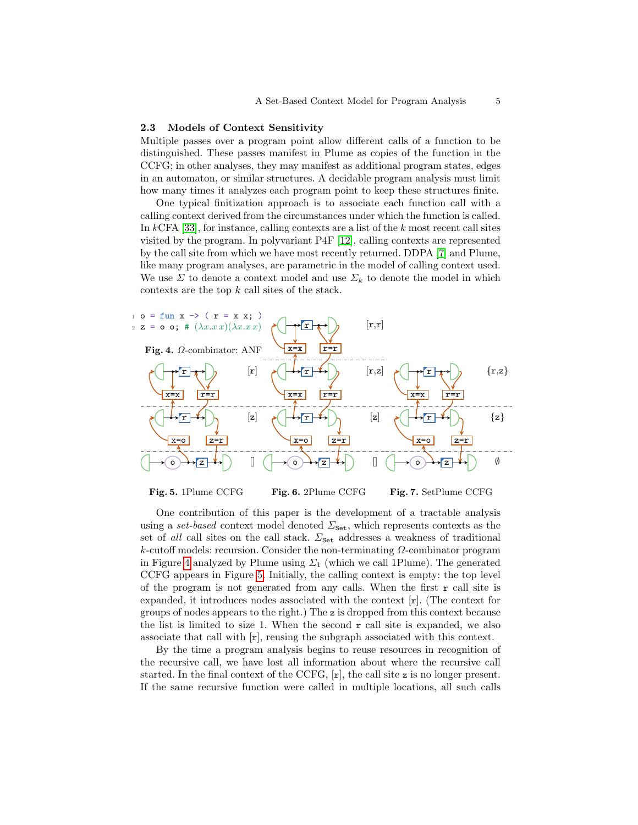#### 2.3 Models of Context Sensitivity

Multiple passes over a program point allow different calls of a function to be distinguished. These passes manifest in Plume as copies of the function in the CCFG; in other analyses, they may manifest as additional program states, edges in an automaton, or similar structures. A decidable program analysis must limit how many times it analyzes each program point to keep these structures finite.

One typical finitization approach is to associate each function call with a calling context derived from the circumstances under which the function is called. In  $k$ CFA [\[33\]](#page-18-1), for instance, calling contexts are a list of the k most recent call sites visited by the program. In polyvariant P4F [\[12\]](#page-18-4), calling contexts are represented by the call site from which we have most recently returned. DDPA [\[7\]](#page-17-2) and Plume, like many program analyses, are parametric in the model of calling context used. We use  $\Sigma$  to denote a context model and use  $\Sigma_k$  to denote the model in which contexts are the top  $k$  call sites of the stack.

<span id="page-4-0"></span>

<span id="page-4-1"></span>Fig. 5. 1Plume CCFG

<span id="page-4-2"></span>Fig. 6. 2Plume CCFG

<span id="page-4-3"></span>Fig. 7. SetPlume CCFG

One contribution of this paper is the development of a tractable analysis using a set-based context model denoted  $\Sigma_{\text{Set}}$ , which represents contexts as the set of all call sites on the call stack.  $\Sigma_{\text{Set}}$  addresses a weakness of traditional k-cutoff models: recursion. Consider the non-terminating  $\Omega$ -combinator program in Figure [4](#page-4-0) analyzed by Plume using  $\Sigma_1$  (which we call 1Plume). The generated CCFG appears in Figure [5.](#page-4-1) Initially, the calling context is empty: the top level of the program is not generated from any calls. When the first  $r$  call site is expanded, it introduces nodes associated with the context [r]. (The context for groups of nodes appears to the right.) The z is dropped from this context because the list is limited to size 1. When the second  $r$  call site is expanded, we also associate that call with  $[r]$ , reusing the subgraph associated with this context.

By the time a program analysis begins to reuse resources in recognition of the recursive call, we have lost all information about where the recursive call started. In the final context of the CCFG,  $[r]$ , the call site z is no longer present. If the same recursive function were called in multiple locations, all such calls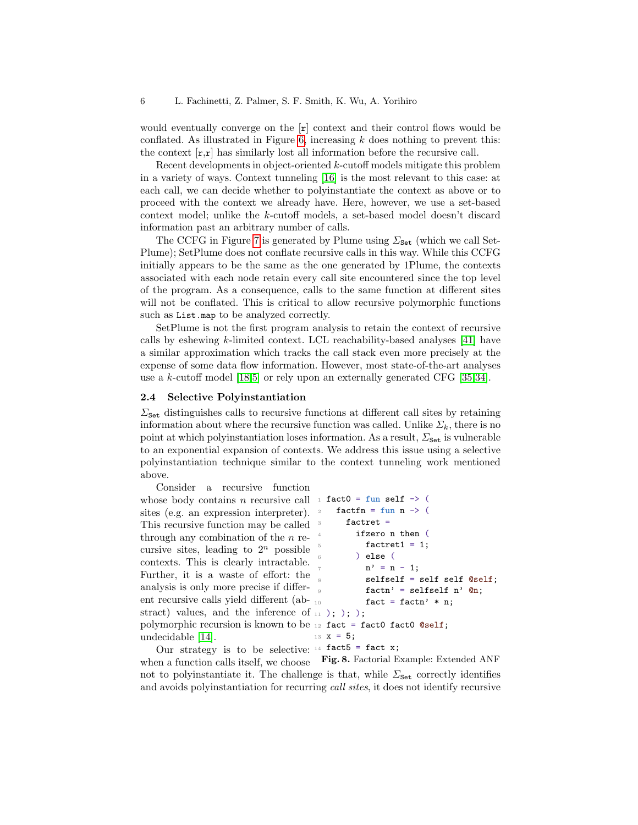would eventually converge on the  $|r|$  context and their control flows would be conflated. As illustrated in Figure [6,](#page-4-2) increasing  $k$  does nothing to prevent this: the context  $[\mathbf{r},\mathbf{r}]$  has similarly lost all information before the recursive call.

Recent developments in object-oriented k-cutoff models mitigate this problem in a variety of ways. Context tunneling [\[16\]](#page-18-6) is the most relevant to this case: at each call, we can decide whether to polyinstantiate the context as above or to proceed with the context we already have. Here, however, we use a set-based context model; unlike the k-cutoff models, a set-based model doesn't discard information past an arbitrary number of calls.

The CCFG in Figure [7](#page-4-3) is generated by Plume using  $\Sigma_{\text{Set}}$  (which we call Set-Plume); SetPlume does not conflate recursive calls in this way. While this CCFG initially appears to be the same as the one generated by 1Plume, the contexts associated with each node retain every call site encountered since the top level of the program. As a consequence, calls to the same function at different sites will not be conflated. This is critical to allow recursive polymorphic functions such as List.map to be analyzed correctly.

SetPlume is not the first program analysis to retain the context of recursive calls by eshewing  $k$ -limited context. LCL reachability-based analyses [\[41\]](#page-19-0) have a similar approximation which tracks the call stack even more precisely at the expense of some data flow information. However, most state-of-the-art analyses use a k-cutoff model [\[18](#page-18-3)[,5\]](#page-17-0) or rely upon an externally generated CFG [\[35,](#page-19-4)[34\]](#page-18-11).

#### <span id="page-5-0"></span>2.4 Selective Polyinstantiation

 $\Sigma_{\text{Set}}$  distinguishes calls to recursive functions at different call sites by retaining information about where the recursive function was called. Unlike  $\Sigma_k$ , there is no point at which polyinstantiation loses information. As a result,  $\Sigma_{\text{Set}}$  is vulnerable to an exponential expansion of contexts. We address this issue using a selective polyinstantiation technique similar to the context tunneling work mentioned above.

```
whose body contains n recursive call \rightarrow fact0 = fun self \rightarrow (
                                           factfn = fun n \rightarrow (3 factret =
                                                 ifzero n then (
                                                    factoret1 = 1;6 ) else (
                                                    n' = n - 1;8 selfself = self self @self;
                                                    factor' = selfself n' @n;fact = factn' * n;stract) values, and the inference of _{11} ); ); );
polymorphic recursion is known to be 12 fact = fact0 fact0 @self;
                                        13 \times = 5;Our strategy is to be selective: 14 fact5 = fact x;
   Consider a recursive function
sites (e.g. an expression interpreter). <sup>2</sup>
This recursive function may be called
through any combination of the n re-
cursive sites, leading to 2<sup>n</sup> possible
contexts. This is clearly intractable.
Further, it is a waste of effort: the
analysis is only more precise if differ-
ent recursive calls yield different (ab-
undecidable [14].
```
<span id="page-5-2"></span><span id="page-5-1"></span>when a function calls itself, we choose Fig. 8. Factorial Example: Extended ANF not to polyinstantiate it. The challenge is that, while  $\Sigma_{\text{Set}}$  correctly identifies and avoids polyinstantiation for recurring call sites, it does not identify recursive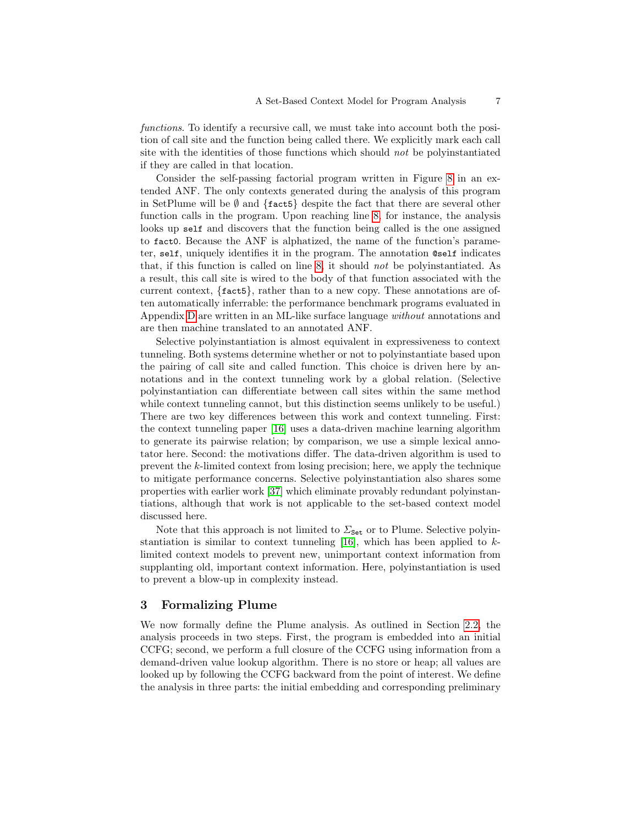functions. To identify a recursive call, we must take into account both the position of call site and the function being called there. We explicitly mark each call site with the identities of those functions which should not be polyinstantiated if they are called in that location.

Consider the self-passing factorial program written in Figure [8](#page-5-1) in an extended ANF. The only contexts generated during the analysis of this program in SetPlume will be  $\emptyset$  and {fact5} despite the fact that there are several other function calls in the program. Upon reaching line [8,](#page-5-2) for instance, the analysis looks up self and discovers that the function being called is the one assigned to fact0. Because the ANF is alphatized, the name of the function's parameter, self, uniquely identifies it in the program. The annotation @self indicates that, if this function is called on line [8,](#page-5-2) it should not be polyinstantiated. As a result, this call site is wired to the body of that function associated with the current context, {fact5}, rather than to a new copy. These annotations are often automatically inferrable: the performance benchmark programs evaluated in Appendix [D](#page-25-0) are written in an ML-like surface language without annotations and are then machine translated to an annotated ANF.

Selective polyinstantiation is almost equivalent in expressiveness to context tunneling. Both systems determine whether or not to polyinstantiate based upon the pairing of call site and called function. This choice is driven here by annotations and in the context tunneling work by a global relation. (Selective polyinstantiation can differentiate between call sites within the same method while context tunneling cannot, but this distinction seems unlikely to be useful.) There are two key differences between this work and context tunneling. First: the context tunneling paper [\[16\]](#page-18-6) uses a data-driven machine learning algorithm to generate its pairwise relation; by comparison, we use a simple lexical annotator here. Second: the motivations differ. The data-driven algorithm is used to prevent the k-limited context from losing precision; here, we apply the technique to mitigate performance concerns. Selective polyinstantiation also shares some properties with earlier work [\[37\]](#page-19-3) which eliminate provably redundant polyinstantiations, although that work is not applicable to the set-based context model discussed here.

Note that this approach is not limited to  $\Sigma_{\text{Set}}$  or to Plume. Selective polyinstantiation is similar to context tunneling  $[16]$ , which has been applied to klimited context models to prevent new, unimportant context information from supplanting old, important context information. Here, polyinstantiation is used to prevent a blow-up in complexity instead.

# <span id="page-6-0"></span>3 Formalizing Plume

We now formally define the Plume analysis. As outlined in Section [2.2,](#page-2-2) the analysis proceeds in two steps. First, the program is embedded into an initial CCFG; second, we perform a full closure of the CCFG using information from a demand-driven value lookup algorithm. There is no store or heap; all values are looked up by following the CCFG backward from the point of interest. We define the analysis in three parts: the initial embedding and corresponding preliminary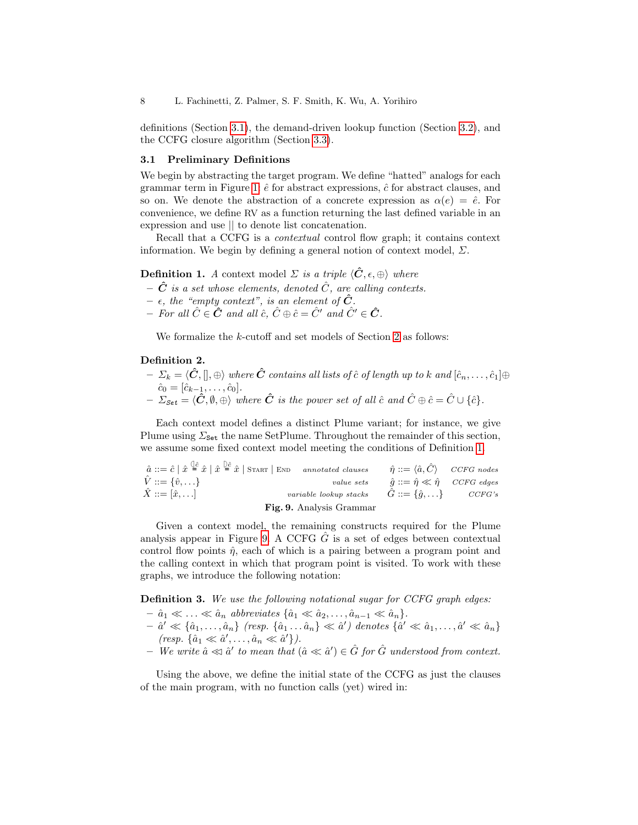definitions (Section [3.1\)](#page-7-0), the demand-driven lookup function (Section [3.2\)](#page-8-0), and the CCFG closure algorithm (Section [3.3\)](#page-8-1).

### <span id="page-7-0"></span>3.1 Preliminary Definitions

We begin by abstracting the target program. We define "hatted" analogs for each grammar term in Figure [1:](#page-2-1)  $\hat{e}$  for abstract expressions,  $\hat{c}$  for abstract clauses, and so on. We denote the abstraction of a concrete expression as  $\alpha(e) = \hat{e}$ . For convenience, we define RV as a function returning the last defined variable in an expression and use || to denote list concatenation.

Recall that a CCFG is a contextual control flow graph; it contains context information. We begin by defining a general notion of context model,  $\Sigma$ .

# <span id="page-7-1"></span>**Definition 1.** A context model  $\Sigma$  is a triple  $\langle \hat{C}, \epsilon, \oplus \rangle$  where

 $-\hat{C}$  is a set whose elements, denoted  $\hat{C}$ , are calling contexts.

- $\epsilon$ , the "empty context", is an element of  $\hat{C}$ .
- For all  $\hat{C} \in \hat{C}$  and all  $\hat{c}$ ,  $\hat{C} \oplus \hat{c} = \hat{C}'$  and  $\hat{C}' \in \hat{C}$ .

We formalize the k-cutoff and set models of Section [2](#page-2-0) as follows:

# <span id="page-7-3"></span>Definition 2.

- $\mathcal{L}_k = \langle \hat{\bm{C}}, [\![},\oplus\rangle$  where  $\hat{\bm{C}}$  contains all lists of  $\hat{c}$  of length up to k and  $[\hat{c}_n,\dots,\hat{c}_1]\oplus\{0\}$  $\hat{c}_0 = [\hat{c}_{k-1}, \ldots, \hat{c}_0].$
- $-\sum_{\mathcal{S}_{\epsilon t}} \sum_{i=1}^{\lfloor n\epsilon-1\rfloor} \langle \hat{C}, \emptyset, \oplus \rangle$  where  $\hat{C}$  is the power set of all  $\hat{c}$  and  $\hat{C} \oplus \hat{c} = \hat{C} \cup \{\hat{c}\}.$

Each context model defines a distinct Plume variant; for instance, we give Plume using  $\Sigma_{\text{Set}}$  the name SetPlume. Throughout the remainder of this section, we assume some fixed context model meeting the conditions of Definition [1.](#page-7-1)

| $\hat{a} ::= \hat{c}   \hat{x} \stackrel{\text{(i)}}{=} \hat{x}   \hat{x} \stackrel{\text{(i)}}{=} \hat{x}   \text{START}   \text{END} \text{ annotated clauses}$ |                          | $\hat{\eta} ::= \langle \hat{a}, \hat{C} \rangle$ CCFG nodes |  |
|-------------------------------------------------------------------------------------------------------------------------------------------------------------------|--------------------------|--------------------------------------------------------------|--|
| $V ::= {\hat{v}, \ldots}$                                                                                                                                         | value sets               | $\hat{q} ::= \hat{\eta} \ll \hat{\eta}$ CCFG edges           |  |
| $\hat{X} ::= [\hat{x}, \ldots]$                                                                                                                                   | variable lookup stacks   | $\hat{G} ::= \{\hat{g}, \ldots\}$ CCFG's                     |  |
|                                                                                                                                                                   | Fig. 9. Analysis Grammar |                                                              |  |

<span id="page-7-2"></span>Given a context model, the remaining constructs required for the Plume analysis appear in Figure [9.](#page-7-2) A CCFG  $\tilde{G}$  is a set of edges between contextual control flow points  $\hat{\eta}$ , each of which is a pairing between a program point and the calling context in which that program point is visited. To work with these graphs, we introduce the following notation:

**Definition 3.** We use the following notational sugar for CCFG graph edges:

- $\hat{a}_1 \ll \ldots \ll \hat{a}_n$  abbreviates  $\{\hat{a}_1 \ll \hat{a}_2, \ldots, \hat{a}_{n-1} \ll \hat{a}_n\}.$
- $\hat{a}' \ll \{\hat{a}_1, \ldots, \hat{a}_n\}$  (resp.  $\{\hat{a}_1 \ldots \hat{a}_n\} \ll \hat{a}'$ ) denotes  $\{\hat{a}' \ll \hat{a}_1, \ldots, \hat{a}' \ll \hat{a}_n\}$  $(resp. \{\hat{a}_1 \ll \hat{a}', \ldots, \hat{a}_n \ll \hat{a}'\}.$
- − We write  $\hat{a} \ll \hat{a}'$  to mean that  $(\hat{a} \ll \hat{a}') \in \hat{G}$  for  $\hat{G}$  understood from context.

<span id="page-7-4"></span>Using the above, we define the initial state of the CCFG as just the clauses of the main program, with no function calls (yet) wired in: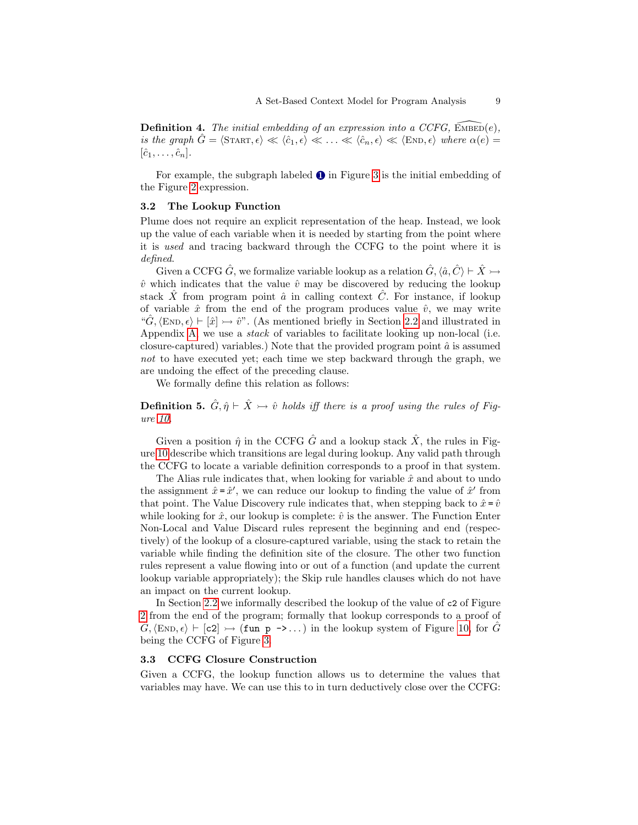**Definition 4.** The initial embedding of an expression into a CCFG,  $\widehat{\text{EMBED}}(e)$ , is the graph  $\hat{G} = \langle \text{START}, \epsilon \rangle \ll \langle \hat{c}_1, \epsilon \rangle \ll \ldots \ll \langle \hat{c}_n, \epsilon \rangle \ll \langle \text{END}, \epsilon \rangle$  where  $\alpha(e) =$  $[\hat{c}_1, \ldots, \hat{c}_n].$ 

For example, the subgraph labeled  $\bullet$  in Figure [3](#page-3-2) is the initial embedding of the Figure [2](#page-3-0) expression.

# <span id="page-8-0"></span>3.2 The Lookup Function

Plume does not require an explicit representation of the heap. Instead, we look up the value of each variable when it is needed by starting from the point where it is used and tracing backward through the CCFG to the point where it is defined.

Given a CCFG  $\hat{G}$ , we formalize variable lookup as a relation  $\hat{G}$ ,  $\langle \hat{a}, \hat{C} \rangle \vdash \hat{X} \rightarrow$  $\hat{v}$  which indicates that the value  $\hat{v}$  may be discovered by reducing the lookup stack X from program point  $\hat{a}$  in calling context C. For instance, if lookup of variable  $\hat{x}$  from the end of the program produces value  $\hat{v}$ , we may write " $\hat{G}$ ,  $\langle \text{END}, \epsilon \rangle \vdash [\hat{x}] \rightarrow \hat{v}$ ". (As mentioned briefly in Section [2.2](#page-2-2) and illustrated in Appendix [A,](#page-20-0) we use a stack of variables to facilitate looking up non-local (i.e. closure-captured) variables.) Note that the provided program point  $\hat{a}$  is assumed not to have executed yet; each time we step backward through the graph, we are undoing the effect of the preceding clause.

We formally define this relation as follows:

<span id="page-8-2"></span>**Definition 5.**  $\hat{G}, \hat{\eta} \models \hat{X} \rightarrow \hat{v}$  holds iff there is a proof using the rules of Figure [10.](#page-9-0)

Given a position  $\hat{\eta}$  in the CCFG  $\hat{G}$  and a lookup stack  $\hat{X}$ , the rules in Figure [10](#page-9-0) describe which transitions are legal during lookup. Any valid path through the CCFG to locate a variable definition corresponds to a proof in that system.

The Alias rule indicates that, when looking for variable  $\hat{x}$  and about to undo the assignment  $\hat{x} = \hat{x}'$ , we can reduce our lookup to finding the value of  $\hat{x}'$  from that point. The Value Discovery rule indicates that, when stepping back to  $\hat{x} = \hat{v}$ while looking for  $\hat{x}$ , our lookup is complete:  $\hat{v}$  is the answer. The Function Enter Non-Local and Value Discard rules represent the beginning and end (respectively) of the lookup of a closure-captured variable, using the stack to retain the variable while finding the definition site of the closure. The other two function rules represent a value flowing into or out of a function (and update the current lookup variable appropriately); the Skip rule handles clauses which do not have an impact on the current lookup.

In Section [2.2](#page-3-3) we informally described the lookup of the value of c2 of Figure [2](#page-3-0) from the end of the program; formally that lookup corresponds to a proof of  $\hat{G}, \langle \text{END}, \epsilon \rangle \vdash [\text{c2}] \rightarrow (\text{fun } \text{p} \rightarrow \ldots)$  in the lookup system of Figure [10,](#page-9-0) for  $\hat{G}$ being the CCFG of Figure [3.](#page-3-2)

# <span id="page-8-1"></span>3.3 CCFG Closure Construction

Given a CCFG, the lookup function allows us to determine the values that variables may have. We can use this to in turn deductively close over the CCFG: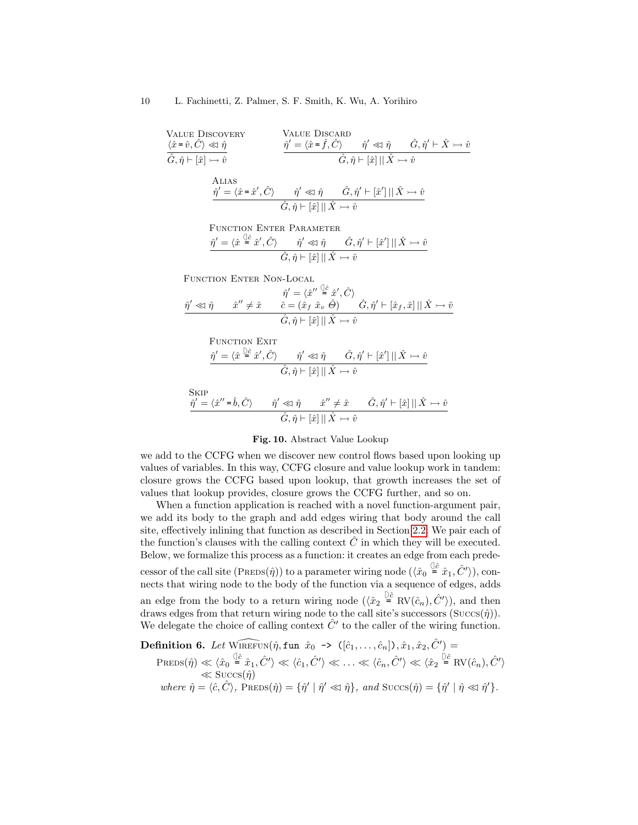VALUE DISCOVERY

\n
$$
\begin{array}{ll}\n\langle \hat{x} = \hat{v}, \hat{C} \rangle \lll \hat{\eta} & \text{VALUE DISCARD} \\
\langle \hat{x} = \hat{v}, \hat{C} \rangle \lll \hat{\eta} & \hat{\eta}' = \langle \hat{x} = \hat{f}, \hat{C} \rangle & \hat{\eta}' \lll \hat{\eta} & \hat{G}, \hat{\eta}' \vdash \hat{X} \rightarrow \hat{v} \\
\hat{G}, \hat{\eta} \vdash [\hat{x}] \rightarrow \hat{v} & \hat{G}, \hat{\eta} \vdash [\hat{x}] \mid |\hat{X} \rightarrow \hat{v} \\
\end{array}
$$
\nALIAS

\n
$$
\begin{array}{ll}\n\hat{\eta}' = \langle \hat{x} = \hat{x}', \hat{C} \rangle & \hat{\eta}' \lll \hat{\eta} & \hat{G}, \hat{\eta}' \vdash [\hat{x}'] \mid |\hat{X} \rightarrow \hat{v} \\
\hat{G}, \hat{\eta} \vdash [\hat{x}] \mid |\hat{X} \rightarrow \hat{v}\n\end{array}
$$

Function Enter Parameter

$$
\frac{\hat{\eta}' = \langle \hat{x} \stackrel{\langle \hat{\mu} \hat{e} \hat{x}', \hat{C} \rangle}{\hat{\sigma}, \hat{\eta} \in [\hat{x}]} | \hat{X} \rightarrow \hat{v} \rangle}{\hat{G}, \hat{\eta} \in [\hat{x}] \| \hat{X} \rightarrow \hat{v}}
$$

Function Enter Non-Local

$$
\hat{\eta}' = \langle \hat{x}'' \stackrel{\triangle}{=} \hat{x}', \hat{C} \rangle
$$
\n
$$
\hat{\eta}' \ll \hat{\eta} \qquad \hat{x}'' \neq \hat{x} \qquad \hat{c} = (\hat{x}_f \hat{x}_v \hat{\Theta}) \qquad \hat{G}, \hat{\eta}' \vdash [\hat{x}_f, \hat{x}] || \hat{X} \rightarrow \hat{v}
$$
\n
$$
\hat{G}, \hat{\eta} \vdash [\hat{x}] || \hat{X} \rightarrow \hat{v}
$$

$$
\label{eq:11} \begin{aligned} &\text{Funcation\;Extr} \\ &\frac{\hat{\eta}' = \langle \hat{x} \stackrel{\hat{\mathbb{D}}^{\hat{c}}}{=} \hat{x}', \hat{C} \rangle \qquad \hat{\eta}' \lll \hat{\eta} \qquad \hat{G}, \hat{\eta}' \vdash [\hat{x}'] \, || \, \hat{X} \rightarrowtail \hat{v}}{\hat{G}, \hat{\eta} \vdash [\hat{x}] \, || \, \hat{X} \rightarrowtail \hat{v}} \end{aligned}
$$

**SKIP** 

$$
\frac{\hat{\eta}' = \langle \hat{x}'' = \hat{b}, \hat{C} \rangle \qquad \hat{\eta}' \lll \hat{\eta} \qquad \hat{x}'' \neq \hat{x} \qquad \hat{C}, \hat{\eta}' \vdash [\hat{x}] \mid |\hat{X} \rightarrowtail \hat{v}|}{\hat{G}, \hat{\eta} \vdash [\hat{x}] \mid |\hat{X} \rightarrowtail \hat{v}|}
$$

# <span id="page-9-0"></span>Fig. 10. Abstract Value Lookup

we add to the CCFG when we discover new control flows based upon looking up values of variables. In this way, CCFG closure and value lookup work in tandem: closure grows the CCFG based upon lookup, that growth increases the set of values that lookup provides, closure grows the CCFG further, and so on.

When a function application is reached with a novel function-argument pair, we add its body to the graph and add edges wiring that body around the call site, effectively inlining that function as described in Section [2.2.](#page-3-3) We pair each of the function's clauses with the calling context  $\tilde{C}$  in which they will be executed. Below, we formalize this process as a function: it creates an edge from each predecessor of the call site  $(Preps(\hat{\eta}))$  to a parameter wiring node  $(\langle \hat{x}_0 \stackrel{\hat{d}\hat{e}}{=} \hat{x}_1, \hat{C}' \rangle)$ , connects that wiring node to the body of the function via a sequence of edges, adds an edge from the body to a return wiring node  $(\langle \hat{x}_2 \rangle^{\partial \hat{c}}$  RV $(\hat{c}_n), \hat{C}' \rangle)$ , and then draws edges from that return wiring node to the call site's successors  $(Succs(\hat{\eta}))$ . We delegate the choice of calling context  $\hat{C}^{\prime}$  to the caller of the wiring function.

<span id="page-9-1"></span>Definition 6. Let  $\widehat{\text{WIREFUN}}(\hat{\eta}, \text{fun } \hat{x}_0 \rightarrow \left( [\hat{c}_1, \ldots, \hat{c}_n] \right), \hat{x}_1, \hat{x}_2, \hat{C}') =$  $\text{PREDS}(\hat{\eta}) \ll \langle \hat{x}_0 \stackrel{\langle \hat{\mathbb{I}}^c \rangle}{=} \hat{x}_1, \hat{C}' \rangle \ll \langle \hat{c}_1, \hat{C}' \rangle \ll \ldots \ll \langle \hat{c}_n, \hat{C}' \rangle \ll \langle \hat{x}_2 \stackrel{\hat{\mathbb{D}}^c \rangle}{=} \text{RV}(\hat{c}_n), \hat{C}' \rangle$  $\ll$  Succs $(\hat{\eta})$ 

where  $\hat{\eta} = \langle \hat{c}, \hat{C} \rangle$ ,  $\text{PREDS}(\hat{\eta}) = \{ \hat{\eta}' \mid \hat{\eta}' \ll \hat{\eta} \}$ , and  $\text{Succs}(\hat{\eta}) = \{ \hat{\eta}' \mid \hat{\eta} \ll \hat{\eta}' \}$ .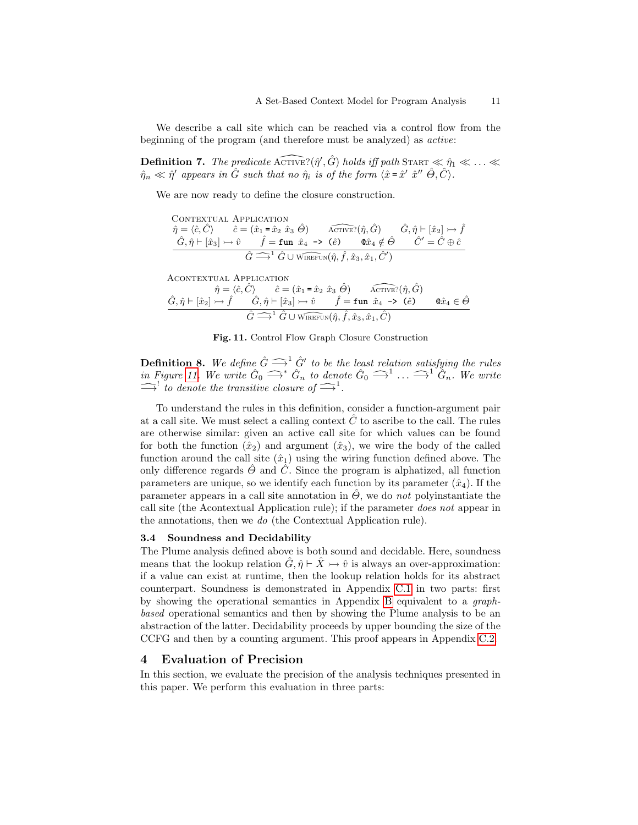We describe a call site which can be reached via a control flow from the beginning of the program (and therefore must be analyzed) as active:

**Definition 7.** The predicate  $\widehat{\mathrm{ACTVE}}$ ? ( $\hat{\eta}'$ ,  $\hat{G}$ ) holds iff path START  $\ll \hat{\eta}_1 \ll \ldots \ll$  $\hat{\eta}_n \ll \hat{\eta}'$  appears in  $\hat{G}$  such that no  $\hat{\eta}_i$  is of the form  $\langle \hat{x} = \hat{x}' \hat{x}'' \hat{\Theta}, \hat{C} \rangle$ .

We are now ready to define the closure construction.

CONTEXTUAL APPLICATION

\n
$$
\hat{\eta} = \langle \hat{c}, \hat{C} \rangle \qquad \hat{c} = (\hat{x}_1 = \hat{x}_2 \ \hat{x}_3 \ \hat{\Theta}) \qquad \text{ACTIVE?}(\hat{\eta}, \hat{G}) \qquad \hat{G}, \hat{\eta} \vdash [\hat{x}_2] \rightarrow \hat{f}
$$
\n
$$
\hat{G}, \hat{\eta} \vdash [\hat{x}_3] \rightarrow \hat{v} \qquad \hat{f} = \text{fun } \hat{x}_4 \rightarrow (\hat{e}) \qquad \text{Q} \hat{x}_4 \notin \hat{\Theta} \qquad \hat{C}' = \hat{C} \oplus \hat{c}
$$
\n
$$
\hat{G} \longrightarrow^1 \hat{G} \cup \text{WIREFUN}(\hat{\eta}, \hat{f}, \hat{x}_3, \hat{x}_1, \hat{C}')
$$

Acontextual Application

$$
\hat{\eta} = \langle \hat{c}, \hat{C} \rangle \qquad \hat{c} = (\hat{x}_1 = \hat{x}_2 \ \hat{x}_3 \ \hat{\Theta}) \qquad \widehat{\Lambda_{\text{CTIVE}}}(\hat{\eta}, \hat{G})
$$
\n
$$
\hat{G}, \hat{\eta} \vdash [\hat{x}_2] \rightarrow \hat{f} \qquad \hat{G}, \hat{\eta} \vdash [\hat{x}_3] \rightarrow \hat{v} \qquad \hat{f} = \text{fun} \ \hat{x}_4 \rightarrow (\hat{e}) \qquad \text{Q}\hat{x}_4 \in \hat{\Theta}
$$
\n
$$
\hat{G} \implies \hat{G} \cup \widehat{\text{WIREFun}}(\hat{\eta}, \hat{f}, \hat{x}_3, \hat{x}_1, \hat{C})
$$

#### <span id="page-10-1"></span>Fig. 11. Control Flow Graph Closure Construction

**Definition 8.** We define  $\hat{G} \widehat{\longrightarrow}^1 \hat{G}'$  to be the least relation satisfying the rules<br>in Figure 11, We write  $\hat{G} \leq \widehat{G}^* \hat{G}$  to denote  $\hat{G} \leq \widehat{G}^* \widehat{G}^{-1}$ in Figure [11.](#page-10-1) We write  $\hat{G}_0 \stackrel{\longrightarrow}{\longrightarrow}^* \hat{G}_n$  to denote  $\hat{G}_0 \stackrel{\longrightarrow}{\longrightarrow}^1 \ldots \stackrel{\longrightarrow}{\longrightarrow}^1 \hat{G}_n$ . We write  $\widehat{\longrightarrow}^!$  to denote the transitive closure of  $\widehat{\longrightarrow}^1$ .

To understand the rules in this definition, consider a function-argument pair at a call site. We must select a calling context  $\tilde{C}$  to ascribe to the call. The rules are otherwise similar: given an active call site for which values can be found for both the function  $(\hat{x}_2)$  and argument  $(\hat{x}_3)$ , we wire the body of the called function around the call site  $(\hat{x}_1)$  using the wiring function defined above. The only difference regards  $\hat{\Theta}$  and  $\hat{C}$ . Since the program is alphatized, all function parameters are unique, so we identify each function by its parameter  $(\hat{x}_4)$ . If the parameter appears in a call site annotation in  $\Theta$ , we do not polyinstantiate the call site (the Acontextual Application rule); if the parameter does not appear in the annotations, then we do (the Contextual Application rule).

#### 3.4 Soundness and Decidability

The Plume analysis defined above is both sound and decidable. Here, soundness means that the lookup relation  $\tilde{G}, \hat{\eta} \vdash \tilde{X} \rightarrow \hat{v}$  is always an over-approximation: if a value can exist at runtime, then the lookup relation holds for its abstract counterpart. Soundness is demonstrated in Appendix [C.1](#page-22-0) in two parts: first by showing the operational semantics in Appendix [B](#page-21-0) equivalent to a graphbased operational semantics and then by showing the Plume analysis to be an abstraction of the latter. Decidability proceeds by upper bounding the size of the CCFG and then by a counting argument. This proof appears in Appendix [C.2.](#page-23-0)

# <span id="page-10-0"></span>4 Evaluation of Precision

In this section, we evaluate the precision of the analysis techniques presented in this paper. We perform this evaluation in three parts: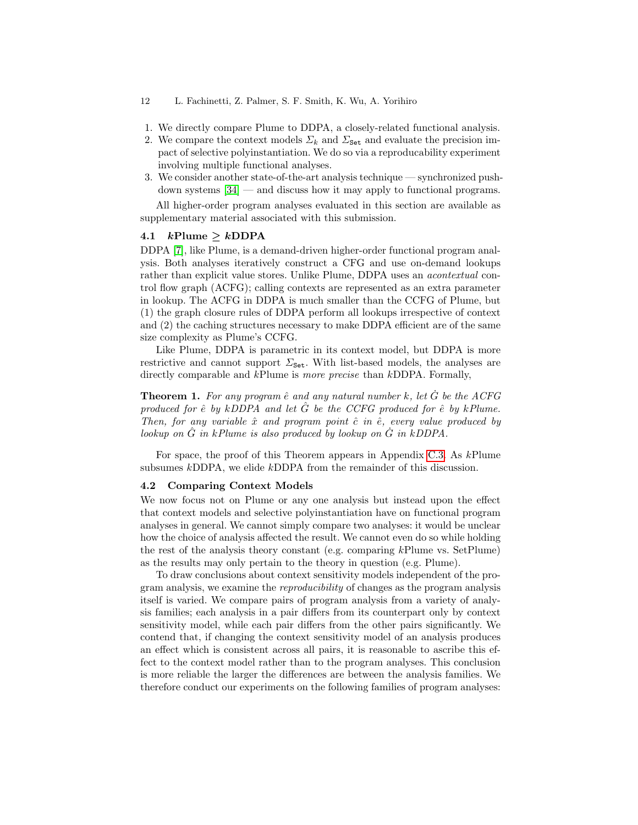- 12 L. Fachinetti, Z. Palmer, S. F. Smith, K. Wu, A. Yorihiro
- 1. We directly compare Plume to DDPA, a closely-related functional analysis.
- 2. We compare the context models  $\Sigma_k$  and  $\Sigma_{\text{Set}}$  and evaluate the precision impact of selective polyinstantiation. We do so via a reproducability experiment involving multiple functional analyses.
- 3. We consider another state-of-the-art analysis technique synchronized pushdown systems  $[34]$  — and discuss how it may apply to functional programs.

All higher-order program analyses evaluated in this section are available as supplementary material associated with this submission.

# <span id="page-11-0"></span>4.1 kPlume  $\geq kDDPA$

DDPA [\[7\]](#page-17-2), like Plume, is a demand-driven higher-order functional program analysis. Both analyses iteratively construct a CFG and use on-demand lookups rather than explicit value stores. Unlike Plume, DDPA uses an *acontextual* control flow graph (ACFG); calling contexts are represented as an extra parameter in lookup. The ACFG in DDPA is much smaller than the CCFG of Plume, but (1) the graph closure rules of DDPA perform all lookups irrespective of context and (2) the caching structures necessary to make DDPA efficient are of the same size complexity as Plume's CCFG.

Like Plume, DDPA is parametric in its context model, but DDPA is more restrictive and cannot support  $\Sigma_{\text{Set}}$ . With list-based models, the analyses are directly comparable and kPlume is *more precise* than kDDPA. Formally,

<span id="page-11-1"></span>**Theorem 1.** For any program  $\hat{e}$  and any natural number k, let G be the ACFG produced for  $\hat{e}$  by kDDPA and let G be the CCFG produced for  $\hat{e}$  by kPlume. Then, for any variable  $\hat{x}$  and program point  $\hat{c}$  in  $\hat{e}$ , every value produced by lookup on  $\hat{G}$  in kPlume is also produced by lookup on  $\dot{G}$  in kDDPA.

For space, the proof of this Theorem appears in Appendix [C.3.](#page-25-1) As kPlume subsumes kDDPA, we elide kDDPA from the remainder of this discussion.

### 4.2 Comparing Context Models

We now focus not on Plume or any one analysis but instead upon the effect that context models and selective polyinstantiation have on functional program analyses in general. We cannot simply compare two analyses: it would be unclear how the choice of analysis affected the result. We cannot even do so while holding the rest of the analysis theory constant (e.g. comparing kPlume vs. SetPlume) as the results may only pertain to the theory in question (e.g. Plume).

To draw conclusions about context sensitivity models independent of the program analysis, we examine the reproducibility of changes as the program analysis itself is varied. We compare pairs of program analysis from a variety of analysis families; each analysis in a pair differs from its counterpart only by context sensitivity model, while each pair differs from the other pairs significantly. We contend that, if changing the context sensitivity model of an analysis produces an effect which is consistent across all pairs, it is reasonable to ascribe this effect to the context model rather than to the program analyses. This conclusion is more reliable the larger the differences are between the analysis families. We therefore conduct our experiments on the following families of program analyses: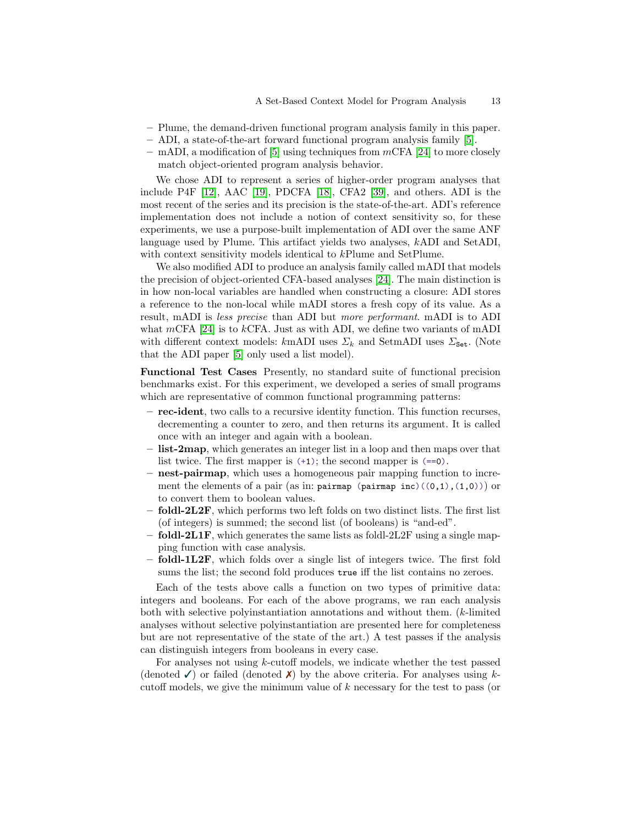- Plume, the demand-driven functional program analysis family in this paper.
- ADI, a state-of-the-art forward functional program analysis family [\[5\]](#page-17-0).
- mADI, a modification of [\[5\]](#page-17-0) using techniques from  $mCFA$  [\[24\]](#page-18-12) to more closely match object-oriented program analysis behavior.

We chose ADI to represent a series of higher-order program analyses that include P4F [\[12\]](#page-18-4), AAC [\[19\]](#page-18-2), PDCFA [\[18\]](#page-18-3), CFA2 [\[39\]](#page-19-2), and others. ADI is the most recent of the series and its precision is the state-of-the-art. ADI's reference implementation does not include a notion of context sensitivity so, for these experiments, we use a purpose-built implementation of ADI over the same ANF language used by Plume. This artifact yields two analyses, kADI and SetADI, with context sensitivity models identical to kPlume and SetPlume.

We also modified ADI to produce an analysis family called mADI that models the precision of object-oriented CFA-based analyses [\[24\]](#page-18-12). The main distinction is in how non-local variables are handled when constructing a closure: ADI stores a reference to the non-local while mADI stores a fresh copy of its value. As a result, mADI is less precise than ADI but more performant. mADI is to ADI what mCFA [\[24\]](#page-18-12) is to kCFA. Just as with ADI, we define two variants of mADI with different context models: kmADI uses  $\Sigma_k$  and SetmADI uses  $\Sigma_{\texttt{Set}}$ . (Note that the ADI paper [\[5\]](#page-17-0) only used a list model).

Functional Test Cases Presently, no standard suite of functional precision benchmarks exist. For this experiment, we developed a series of small programs which are representative of common functional programming patterns:

- rec-ident, two calls to a recursive identity function. This function recurses, decrementing a counter to zero, and then returns its argument. It is called once with an integer and again with a boolean.
- list-2map, which generates an integer list in a loop and then maps over that list twice. The first mapper is (+1); the second mapper is (==0).
- nest-pairmap, which uses a homogeneous pair mapping function to increment the elements of a pair (as in: pairmap (pairmap inc) $((0,1),(1,0))$  or to convert them to boolean values.
- $-$  foldl-2L2F, which performs two left folds on two distinct lists. The first list (of integers) is summed; the second list (of booleans) is "and-ed".
- $-$  foldl-2L1F, which generates the same lists as foldl-2L2F using a single mapping function with case analysis.
- $-$  foldl-1L2F, which folds over a single list of integers twice. The first fold sums the list; the second fold produces true iff the list contains no zeroes.

Each of the tests above calls a function on two types of primitive data: integers and booleans. For each of the above programs, we ran each analysis both with selective polyinstantiation annotations and without them.  $(k$ -limited analyses without selective polyinstantiation are presented here for completeness but are not representative of the state of the art.) A test passes if the analysis can distinguish integers from booleans in every case.

For analyses not using k-cutoff models, we indicate whether the test passed (denoted  $\checkmark$ ) or failed (denoted  $\checkmark$ ) by the above criteria. For analyses using kcutoff models, we give the minimum value of k necessary for the test to pass (or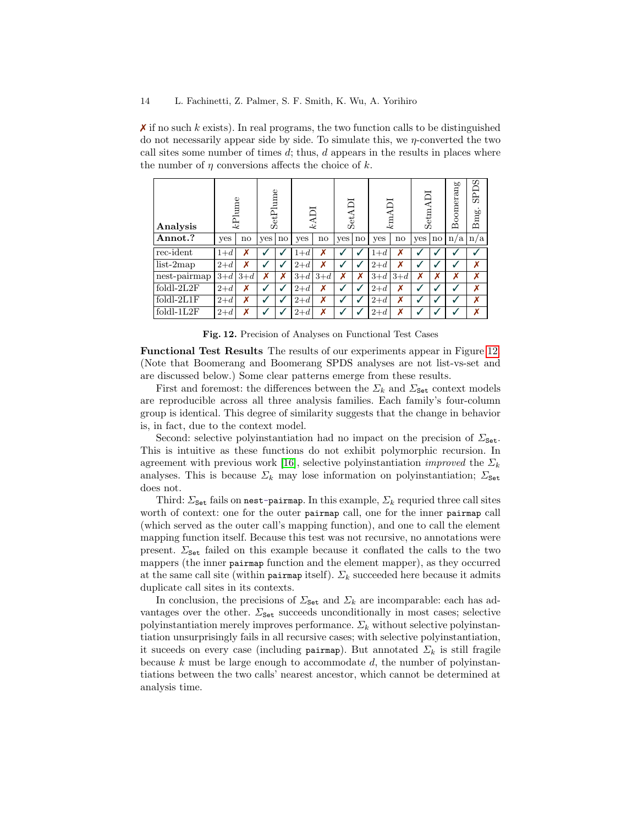$\lambda$  if no such k exists). In real programs, the two function calls to be distinguished do not necessarily appear side by side. To simulate this, we  $\eta$ -converted the two call sites some number of times  $d$ ; thus,  $d$  appears in the results in places where the number of  $\eta$  conversions affects the choice of k.

| Analysis     |            | kPlume                 | SetPlume |    | kADI       |       | SetADI       |    |       | kmADI | Setm         |    | Boomerang | SEDS<br>B <sub>mg</sub> |
|--------------|------------|------------------------|----------|----|------------|-------|--------------|----|-------|-------|--------------|----|-----------|-------------------------|
| Annot.?      | <b>ves</b> | $\mathbf{n}\mathbf{o}$ | yes      | no | <b>ves</b> | no    | yes          | no | yes   | no    | yes          | no | n/a       | n/a                     |
| rec-ident    | $1+d$      |                        |          |    | $1+d$      | Х     |              |    | $1+d$ | Х     |              |    |           |                         |
| $list-2map$  | $2+d$      | X                      |          |    | $2+d$      | X     | √            |    | $2+d$ | X     |              |    |           | X                       |
| nest-pairmap | $3+d$      | $3+d$                  | Х        | Х  | $3+d$      | $3+d$ | X            | X  | $3+d$ | $3+d$ | X            | X  | X         | X                       |
| $foldl-2L2F$ | $2+d$      | Х                      |          |    | $2+d$      | Х     | √            | J  | $2+d$ | X     | $\checkmark$ |    |           | X                       |
| $foldl-2L1F$ | $2+d$      | X                      |          |    | $2+d$      | Х     | $\checkmark$ | √  | $2+d$ | X     |              |    |           | X                       |
| $foldI-1L2F$ | $2+d$      | v                      |          |    | $2+d$      | Х     |              |    | $2+d$ | X     |              |    |           | Х                       |

<span id="page-13-0"></span>Fig. 12. Precision of Analyses on Functional Test Cases

<span id="page-13-1"></span>Functional Test Results The results of our experiments appear in Figure [12.](#page-13-0) (Note that Boomerang and Boomerang SPDS analyses are not list-vs-set and are discussed below.) Some clear patterns emerge from these results.

First and foremost: the differences between the  $\Sigma_k$  and  $\Sigma_{\text{Set}}$  context models are reproducible across all three analysis families. Each family's four-column group is identical. This degree of similarity suggests that the change in behavior is, in fact, due to the context model.

Second: selective polyinstantiation had no impact on the precision of  $\Sigma_{\text{Set}}$ . This is intuitive as these functions do not exhibit polymorphic recursion. In agreement with previous work [\[16\]](#page-18-6), selective polyinstantiation *improved* the  $\Sigma_k$ analyses. This is because  $\Sigma_k$  may lose information on polyinstantiation;  $\Sigma_{\text{Set}}$ does not.

Third:  $\Sigma_{\text{Set}}$  fails on nest-pairmap. In this example,  $\Sigma_k$  requried three call sites worth of context: one for the outer pairmap call, one for the inner pairmap call (which served as the outer call's mapping function), and one to call the element mapping function itself. Because this test was not recursive, no annotations were present.  $\Sigma_{\text{Set}}$  failed on this example because it conflated the calls to the two mappers (the inner pairmap function and the element mapper), as they occurred at the same call site (within pairmap itself).  $\Sigma_k$  succeeded here because it admits duplicate call sites in its contexts.

In conclusion, the precisions of  $\Sigma_{\text{Set}}$  and  $\Sigma_k$  are incomparable: each has advantages over the other.  $\Sigma_{\text{Set}}$  succeeds unconditionally in most cases; selective polyinstantiation merely improves performance.  $\Sigma_k$  without selective polyinstantiation unsurprisingly fails in all recursive cases; with selective polyinstantiation, it suceeds on every case (including pairmap). But annotated  $\Sigma_k$  is still fragile because  $k$  must be large enough to accommodate  $d$ , the number of polyinstantiations between the two calls' nearest ancestor, which cannot be determined at analysis time.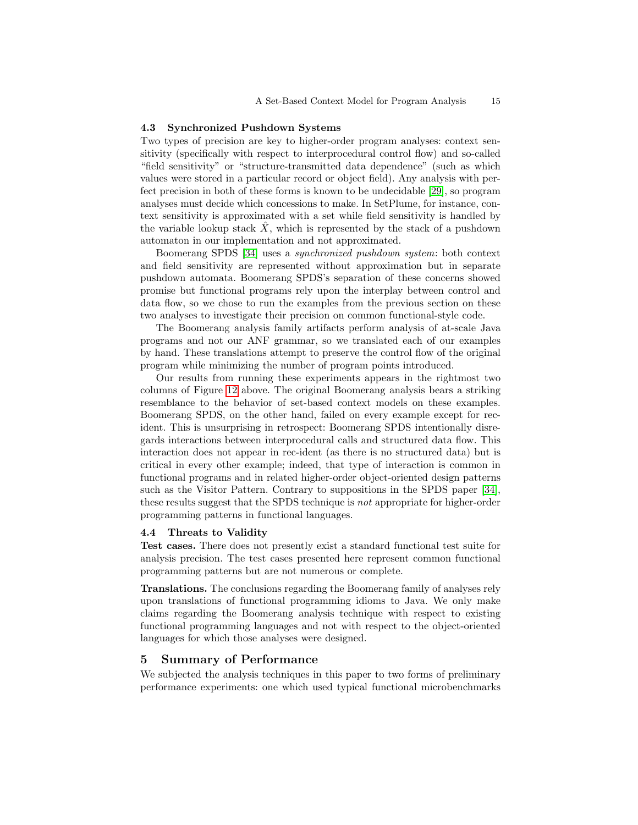#### <span id="page-14-0"></span>4.3 Synchronized Pushdown Systems

Two types of precision are key to higher-order program analyses: context sensitivity (specifically with respect to interprocedural control flow) and so-called "field sensitivity" or "structure-transmitted data dependence" (such as which values were stored in a particular record or object field). Any analysis with perfect precision in both of these forms is known to be undecidable [\[29\]](#page-18-0), so program analyses must decide which concessions to make. In SetPlume, for instance, context sensitivity is approximated with a set while field sensitivity is handled by the variable lookup stack  $\hat{X}$ , which is represented by the stack of a pushdown automaton in our implementation and not approximated.

Boomerang SPDS [\[34\]](#page-18-11) uses a synchronized pushdown system: both context and field sensitivity are represented without approximation but in separate pushdown automata. Boomerang SPDS's separation of these concerns showed promise but functional programs rely upon the interplay between control and data flow, so we chose to run the examples from the previous section on these two analyses to investigate their precision on common functional-style code.

The Boomerang analysis family artifacts perform analysis of at-scale Java programs and not our ANF grammar, so we translated each of our examples by hand. These translations attempt to preserve the control flow of the original program while minimizing the number of program points introduced.

Our results from running these experiments appears in the rightmost two columns of Figure [12](#page-13-0) above. The original Boomerang analysis bears a striking resemblance to the behavior of set-based context models on these examples. Boomerang SPDS, on the other hand, failed on every example except for recident. This is unsurprising in retrospect: Boomerang SPDS intentionally disregards interactions between interprocedural calls and structured data flow. This interaction does not appear in rec-ident (as there is no structured data) but is critical in every other example; indeed, that type of interaction is common in functional programs and in related higher-order object-oriented design patterns such as the Visitor Pattern. Contrary to suppositions in the SPDS paper [\[34\]](#page-18-11), these results suggest that the SPDS technique is not appropriate for higher-order programming patterns in functional languages.

# 4.4 Threats to Validity

Test cases. There does not presently exist a standard functional test suite for analysis precision. The test cases presented here represent common functional programming patterns but are not numerous or complete.

Translations. The conclusions regarding the Boomerang family of analyses rely upon translations of functional programming idioms to Java. We only make claims regarding the Boomerang analysis technique with respect to existing functional programming languages and not with respect to the object-oriented languages for which those analyses were designed.

# <span id="page-14-1"></span>5 Summary of Performance

We subjected the analysis techniques in this paper to two forms of preliminary performance experiments: one which used typical functional microbenchmarks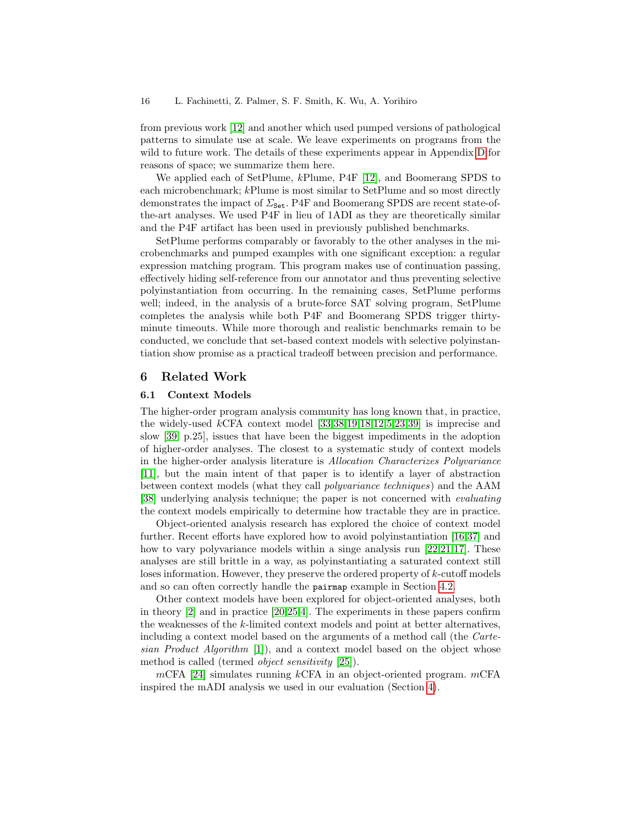from previous work [\[12\]](#page-18-4) and another which used pumped versions of pathological patterns to simulate use at scale. We leave experiments on programs from the wild to future work. The details of these experiments appear in Appendix [D](#page-25-0) for reasons of space; we summarize them here.

We applied each of SetPlume, kPlume, P4F [\[12\]](#page-18-4), and Boomerang SPDS to each microbenchmark; kPlume is most similar to SetPlume and so most directly demonstrates the impact of  $\Sigma_{\text{Set}}$ . P4F and Boomerang SPDS are recent state-ofthe-art analyses. We used P4F in lieu of 1ADI as they are theoretically similar and the P4F artifact has been used in previously published benchmarks.

SetPlume performs comparably or favorably to the other analyses in the microbenchmarks and pumped examples with one significant exception: a regular expression matching program. This program makes use of continuation passing, effectively hiding self-reference from our annotator and thus preventing selective polyinstantiation from occurring. In the remaining cases, SetPlume performs well; indeed, in the analysis of a brute-force SAT solving program, SetPlume completes the analysis while both P4F and Boomerang SPDS trigger thirtyminute timeouts. While more thorough and realistic benchmarks remain to be conducted, we conclude that set-based context models with selective polyinstantiation show promise as a practical tradeoff between precision and performance.

# <span id="page-15-0"></span>6 Related Work

# 6.1 Context Models

The higher-order program analysis community has long known that, in practice, the widely-used kCFA context model [\[33,](#page-18-1)[38](#page-19-1)[,19,](#page-18-2)[18,](#page-18-3)[12](#page-18-4)[,5,](#page-17-0)[23,](#page-18-5)[39\]](#page-19-2) is imprecise and slow [\[39,](#page-19-2) p.25], issues that have been the biggest impediments in the adoption of higher-order analyses. The closest to a systematic study of context models in the higher-order analysis literature is Allocation Characterizes Polyvariance [\[11\]](#page-18-22), but the main intent of that paper is to identify a layer of abstraction between context models (what they call polyvariance techniques) and the AAM [\[38\]](#page-19-1) underlying analysis technique; the paper is not concerned with *evaluating* the context models empirically to determine how tractable they are in practice.

Object-oriented analysis research has explored the choice of context model further. Recent efforts have explored how to avoid polyinstantiation [\[16,](#page-18-6)[37\]](#page-19-3) and how to vary polyvariance models within a singe analysis run [\[22,](#page-18-7)[21,](#page-18-8)[17\]](#page-18-9). These analyses are still brittle in a way, as polyinstantiating a saturated context still loses information. However, they preserve the ordered property of k-cutoff models and so can often correctly handle the pairmap example in Section [4.2.](#page-13-1)

Other context models have been explored for object-oriented analyses, both in theory [\[2\]](#page-17-5) and in practice [\[20,](#page-18-23)[25,](#page-18-24)[4\]](#page-17-6). The experiments in these papers confirm the weaknesses of the k-limited context models and point at better alternatives, including a context model based on the arguments of a method call (the Cartesian Product Algorithm [\[1\]](#page-17-7)), and a context model based on the object whose method is called (termed object sensitivity [\[25\]](#page-18-24)).

 $mCFA$  [\[24\]](#page-18-12) simulates running  $kCFA$  in an object-oriented program.  $mCFA$ inspired the mADI analysis we used in our evaluation (Section [4\)](#page-10-0).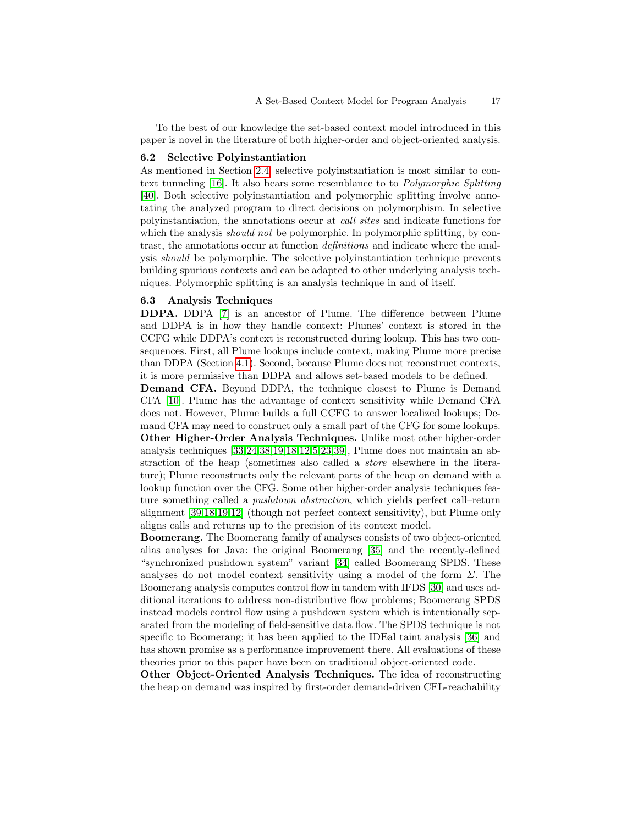To the best of our knowledge the set-based context model introduced in this paper is novel in the literature of both higher-order and object-oriented analysis.

#### 6.2 Selective Polyinstantiation

As mentioned in Section [2.4,](#page-5-0) selective polyinstantiation is most similar to context tunneling [\[16\]](#page-18-6). It also bears some resemblance to to Polymorphic Splitting [\[40\]](#page-19-5). Both selective polyinstantiation and polymorphic splitting involve annotating the analyzed program to direct decisions on polymorphism. In selective polyinstantiation, the annotations occur at call sites and indicate functions for which the analysis *should not* be polymorphic. In polymorphic splitting, by contrast, the annotations occur at function definitions and indicate where the analysis should be polymorphic. The selective polyinstantiation technique prevents building spurious contexts and can be adapted to other underlying analysis techniques. Polymorphic splitting is an analysis technique in and of itself.

# 6.3 Analysis Techniques

DDPA. DDPA [\[7\]](#page-17-2) is an ancestor of Plume. The difference between Plume and DDPA is in how they handle context: Plumes' context is stored in the CCFG while DDPA's context is reconstructed during lookup. This has two consequences. First, all Plume lookups include context, making Plume more precise than DDPA (Section [4.1\)](#page-11-0). Second, because Plume does not reconstruct contexts, it is more permissive than DDPA and allows set-based models to be defined.

Demand CFA. Beyond DDPA, the technique closest to Plume is Demand CFA [\[10\]](#page-18-25). Plume has the advantage of context sensitivity while Demand CFA does not. However, Plume builds a full CCFG to answer localized lookups; Demand CFA may need to construct only a small part of the CFG for some lookups. Other Higher-Order Analysis Techniques. Unlike most other higher-order analysis techniques [\[33,](#page-18-1)[24,](#page-18-12)[38](#page-19-1)[,19,](#page-18-2)[18,](#page-18-3)[12](#page-18-4)[,5,](#page-17-0)[23,](#page-18-5)[39\]](#page-19-2), Plume does not maintain an abstraction of the heap (sometimes also called a store elsewhere in the literature); Plume reconstructs only the relevant parts of the heap on demand with a lookup function over the CFG. Some other higher-order analysis techniques feature something called a pushdown abstraction, which yields perfect call–return alignment [\[39](#page-19-2)[,18,](#page-18-3)[19,](#page-18-2)[12\]](#page-18-4) (though not perfect context sensitivity), but Plume only aligns calls and returns up to the precision of its context model.

Boomerang. The Boomerang family of analyses consists of two object-oriented alias analyses for Java: the original Boomerang [\[35\]](#page-19-4) and the recently-defined "synchronized pushdown system" variant [\[34\]](#page-18-11) called Boomerang SPDS. These analyses do not model context sensitivity using a model of the form  $\Sigma$ . The Boomerang analysis computes control flow in tandem with IFDS [\[30\]](#page-18-13) and uses additional iterations to address non-distributive flow problems; Boomerang SPDS instead models control flow using a pushdown system which is intentionally separated from the modeling of field-sensitive data flow. The SPDS technique is not specific to Boomerang; it has been applied to the IDEal taint analysis [\[36\]](#page-19-6) and has shown promise as a performance improvement there. All evaluations of these theories prior to this paper have been on traditional object-oriented code.

Other Object-Oriented Analysis Techniques. The idea of reconstructing the heap on demand was inspired by first-order demand-driven CFL-reachability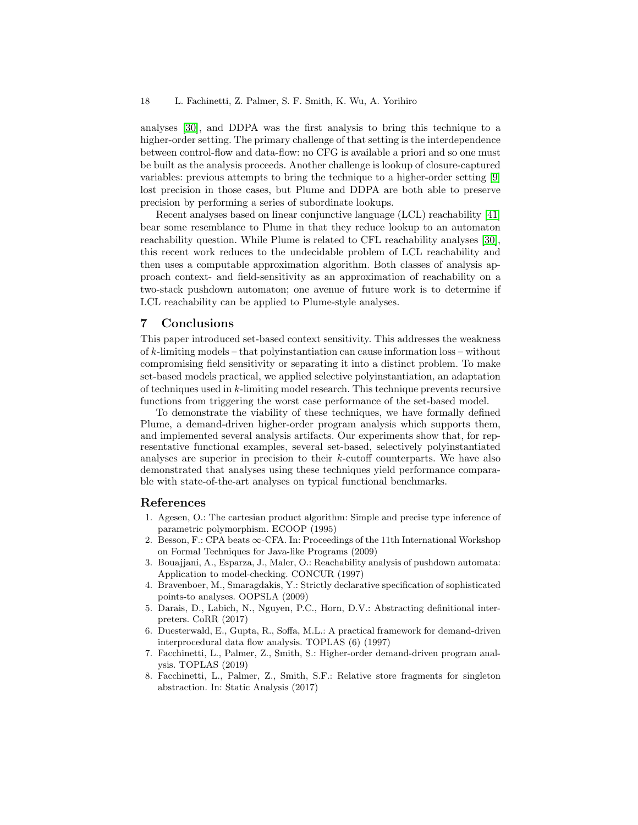analyses [\[30\]](#page-18-13), and DDPA was the first analysis to bring this technique to a higher-order setting. The primary challenge of that setting is the interdependence between control-flow and data-flow: no CFG is available a priori and so one must be built as the analysis proceeds. Another challenge is lookup of closure-captured variables: previous attempts to bring the technique to a higher-order setting [\[9\]](#page-18-19) lost precision in those cases, but Plume and DDPA are both able to preserve precision by performing a series of subordinate lookups.

Recent analyses based on linear conjunctive language (LCL) reachability [\[41\]](#page-19-0) bear some resemblance to Plume in that they reduce lookup to an automaton reachability question. While Plume is related to CFL reachability analyses [\[30\]](#page-18-13), this recent work reduces to the undecidable problem of LCL reachability and then uses a computable approximation algorithm. Both classes of analysis approach context- and field-sensitivity as an approximation of reachability on a two-stack pushdown automaton; one avenue of future work is to determine if LCL reachability can be applied to Plume-style analyses.

# <span id="page-17-4"></span>7 Conclusions

This paper introduced set-based context sensitivity. This addresses the weakness of  $k$ -limiting models – that polyinstantiation can cause information loss – without compromising field sensitivity or separating it into a distinct problem. To make set-based models practical, we applied selective polyinstantiation, an adaptation of techniques used in k-limiting model research. This technique prevents recursive functions from triggering the worst case performance of the set-based model.

To demonstrate the viability of these techniques, we have formally defined Plume, a demand-driven higher-order program analysis which supports them, and implemented several analysis artifacts. Our experiments show that, for representative functional examples, several set-based, selectively polyinstantiated analyses are superior in precision to their k-cutoff counterparts. We have also demonstrated that analyses using these techniques yield performance comparable with state-of-the-art analyses on typical functional benchmarks.

# References

- <span id="page-17-7"></span>1. Agesen, O.: The cartesian product algorithm: Simple and precise type inference of parametric polymorphism. ECOOP (1995)
- <span id="page-17-5"></span>2. Besson, F.: CPA beats ∞-CFA. In: Proceedings of the 11th International Workshop on Formal Techniques for Java-like Programs (2009)
- <span id="page-17-8"></span>3. Bouajjani, A., Esparza, J., Maler, O.: Reachability analysis of pushdown automata: Application to model-checking. CONCUR (1997)
- <span id="page-17-6"></span>4. Bravenboer, M., Smaragdakis, Y.: Strictly declarative specification of sophisticated points-to analyses. OOPSLA (2009)
- <span id="page-17-0"></span>5. Darais, D., Labich, N., Nguyen, P.C., Horn, D.V.: Abstracting definitional interpreters. CoRR (2017)
- <span id="page-17-1"></span>6. Duesterwald, E., Gupta, R., Soffa, M.L.: A practical framework for demand-driven interprocedural data flow analysis. TOPLAS (6) (1997)
- <span id="page-17-2"></span>7. Facchinetti, L., Palmer, Z., Smith, S.: Higher-order demand-driven program analysis. TOPLAS (2019)
- <span id="page-17-3"></span>8. Facchinetti, L., Palmer, Z., Smith, S.F.: Relative store fragments for singleton abstraction. In: Static Analysis (2017)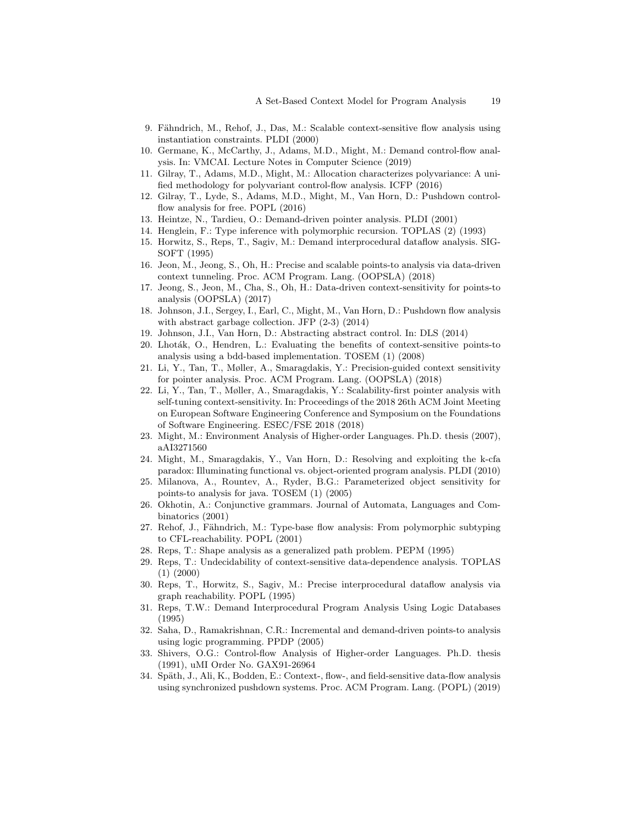- <span id="page-18-19"></span>9. Fähndrich, M., Rehof, J., Das, M.: Scalable context-sensitive flow analysis using instantiation constraints. PLDI (2000)
- <span id="page-18-25"></span>10. Germane, K., McCarthy, J., Adams, M.D., Might, M.: Demand control-flow analysis. In: VMCAI. Lecture Notes in Computer Science (2019)
- <span id="page-18-22"></span>11. Gilray, T., Adams, M.D., Might, M.: Allocation characterizes polyvariance: A unified methodology for polyvariant control-flow analysis. ICFP (2016)
- <span id="page-18-4"></span>12. Gilray, T., Lyde, S., Adams, M.D., Might, M., Van Horn, D.: Pushdown controlflow analysis for free. POPL (2016)
- <span id="page-18-18"></span>13. Heintze, N., Tardieu, O.: Demand-driven pointer analysis. PLDI (2001)
- <span id="page-18-21"></span>14. Henglein, F.: Type inference with polymorphic recursion. TOPLAS (2) (1993)
- <span id="page-18-14"></span>15. Horwitz, S., Reps, T., Sagiv, M.: Demand interprocedural dataflow analysis. SIG-SOFT (1995)
- <span id="page-18-6"></span>16. Jeon, M., Jeong, S., Oh, H.: Precise and scalable points-to analysis via data-driven context tunneling. Proc. ACM Program. Lang. (OOPSLA) (2018)
- <span id="page-18-9"></span>17. Jeong, S., Jeon, M., Cha, S., Oh, H.: Data-driven context-sensitivity for points-to analysis (OOPSLA) (2017)
- <span id="page-18-3"></span>18. Johnson, J.I., Sergey, I., Earl, C., Might, M., Van Horn, D.: Pushdown flow analysis with abstract garbage collection. JFP (2-3) (2014)
- <span id="page-18-2"></span>19. Johnson, J.I., Van Horn, D.: Abstracting abstract control. In: DLS (2014)
- <span id="page-18-23"></span>20. Lhoták, O., Hendren, L.: Evaluating the benefits of context-sensitive points-to analysis using a bdd-based implementation. TOSEM (1) (2008)
- <span id="page-18-8"></span>21. Li, Y., Tan, T., Møller, A., Smaragdakis, Y.: Precision-guided context sensitivity for pointer analysis. Proc. ACM Program. Lang. (OOPSLA) (2018)
- <span id="page-18-7"></span>22. Li, Y., Tan, T., Møller, A., Smaragdakis, Y.: Scalability-first pointer analysis with self-tuning context-sensitivity. In: Proceedings of the 2018 26th ACM Joint Meeting on European Software Engineering Conference and Symposium on the Foundations of Software Engineering. ESEC/FSE 2018 (2018)
- <span id="page-18-5"></span>23. Might, M.: Environment Analysis of Higher-order Languages. Ph.D. thesis (2007), aAI3271560
- <span id="page-18-12"></span>24. Might, M., Smaragdakis, Y., Van Horn, D.: Resolving and exploiting the k-cfa paradox: Illuminating functional vs. object-oriented program analysis. PLDI (2010)
- <span id="page-18-24"></span>25. Milanova, A., Rountev, A., Ryder, B.G.: Parameterized object sensitivity for points-to analysis for java. TOSEM (1) (2005)
- <span id="page-18-10"></span>26. Okhotin, A.: Conjunctive grammars. Journal of Automata, Languages and Combinatorics (2001)
- <span id="page-18-20"></span>27. Rehof, J., Fähndrich, M.: Type-base flow analysis: From polymorphic subtyping to CFL-reachability. POPL (2001)
- <span id="page-18-15"></span>28. Reps, T.: Shape analysis as a generalized path problem. PEPM (1995)
- <span id="page-18-0"></span>29. Reps, T.: Undecidability of context-sensitive data-dependence analysis. TOPLAS (1) (2000)
- <span id="page-18-13"></span>30. Reps, T., Horwitz, S., Sagiv, M.: Precise interprocedural dataflow analysis via graph reachability. POPL (1995)
- <span id="page-18-16"></span>31. Reps, T.W.: Demand Interprocedural Program Analysis Using Logic Databases (1995)
- <span id="page-18-17"></span>32. Saha, D., Ramakrishnan, C.R.: Incremental and demand-driven points-to analysis using logic programming. PPDP (2005)
- <span id="page-18-1"></span>33. Shivers, O.G.: Control-flow Analysis of Higher-order Languages. Ph.D. thesis (1991), uMI Order No. GAX91-26964
- <span id="page-18-11"></span>34. Späth, J., Ali, K., Bodden, E.: Context-, flow-, and field-sensitive data-flow analysis using synchronized pushdown systems. Proc. ACM Program. Lang. (POPL) (2019)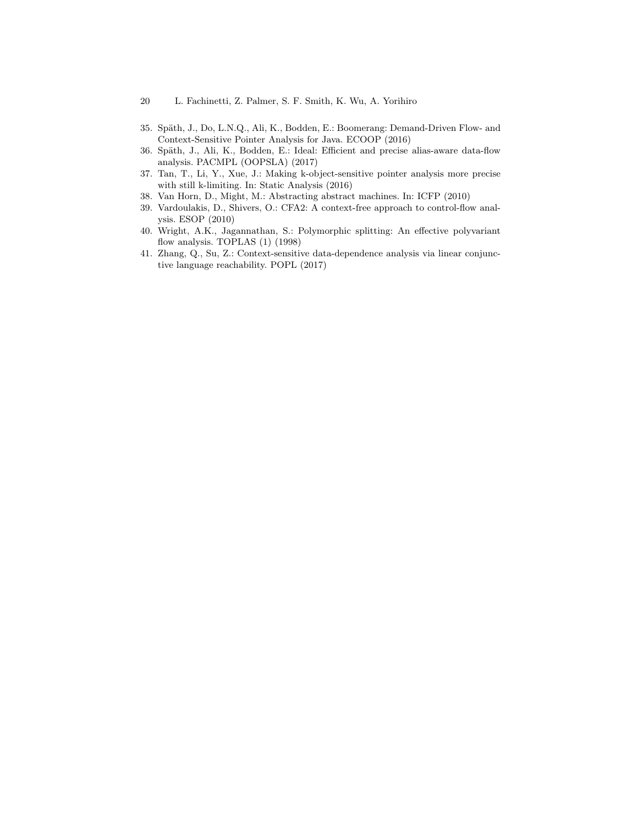- 20 L. Fachinetti, Z. Palmer, S. F. Smith, K. Wu, A. Yorihiro
- <span id="page-19-4"></span>35. Späth, J., Do, L.N.Q., Ali, K., Bodden, E.: Boomerang: Demand-Driven Flow- and Context-Sensitive Pointer Analysis for Java. ECOOP (2016)
- <span id="page-19-6"></span>36. Späth, J., Ali, K., Bodden, E.: Ideal: Efficient and precise alias-aware data-flow analysis. PACMPL (OOPSLA) (2017)
- <span id="page-19-3"></span>37. Tan, T., Li, Y., Xue, J.: Making k-object-sensitive pointer analysis more precise with still k-limiting. In: Static Analysis (2016)
- <span id="page-19-1"></span>38. Van Horn, D., Might, M.: Abstracting abstract machines. In: ICFP (2010)
- <span id="page-19-2"></span>39. Vardoulakis, D., Shivers, O.: CFA2: A context-free approach to control-flow analysis. ESOP (2010)
- <span id="page-19-5"></span>40. Wright, A.K., Jagannathan, S.: Polymorphic splitting: An effective polyvariant flow analysis. TOPLAS  $(1)$   $(1998)$
- <span id="page-19-0"></span>41. Zhang, Q., Su, Z.: Context-sensitive data-dependence analysis via linear conjunctive language reachability. POPL (2017)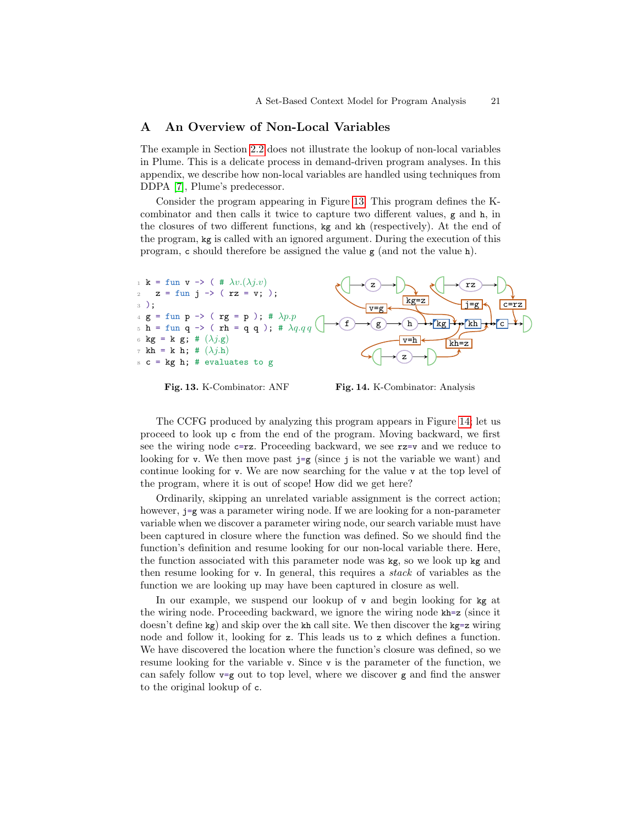# <span id="page-20-0"></span>A An Overview of Non-Local Variables

The example in Section [2.2](#page-2-2) does not illustrate the lookup of non-local variables in Plume. This is a delicate process in demand-driven program analyses. In this appendix, we describe how non-local variables are handled using techniques from DDPA [\[7\]](#page-17-2), Plume's predecessor.

Consider the program appearing in Figure [13.](#page-20-1) This program defines the Kcombinator and then calls it twice to capture two different values, g and h, in the closures of two different functions, kg and kh (respectively). At the end of the program, kg is called with an ignored argument. During the execution of this program, c should therefore be assigned the value g (and not the value h).



<span id="page-20-2"></span><span id="page-20-1"></span>

Fig. 13. K-Combinator: ANF Fig. 14. K-Combinator: Analysis

The CCFG produced by analyzing this program appears in Figure [14;](#page-20-2) let us proceed to look up c from the end of the program. Moving backward, we first see the wiring node c=rz. Proceeding backward, we see rz=v and we reduce to looking for v. We then move past  $j=g$  (since j is not the variable we want) and continue looking for v. We are now searching for the value v at the top level of the program, where it is out of scope! How did we get here?

Ordinarily, skipping an unrelated variable assignment is the correct action; however, j=g was a parameter wiring node. If we are looking for a non-parameter variable when we discover a parameter wiring node, our search variable must have been captured in closure where the function was defined. So we should find the function's definition and resume looking for our non-local variable there. Here, the function associated with this parameter node was kg, so we look up kg and then resume looking for v. In general, this requires a stack of variables as the function we are looking up may have been captured in closure as well.

In our example, we suspend our lookup of  $\nu$  and begin looking for kg at the wiring node. Proceeding backward, we ignore the wiring node kh=z (since it doesn't define kg) and skip over the kh call site. We then discover the kg=z wiring node and follow it, looking for z. This leads us to z which defines a function. We have discovered the location where the function's closure was defined, so we resume looking for the variable v. Since v is the parameter of the function, we can safely follow  $v=g$  out to top level, where we discover  $g$  and find the answer to the original lookup of c.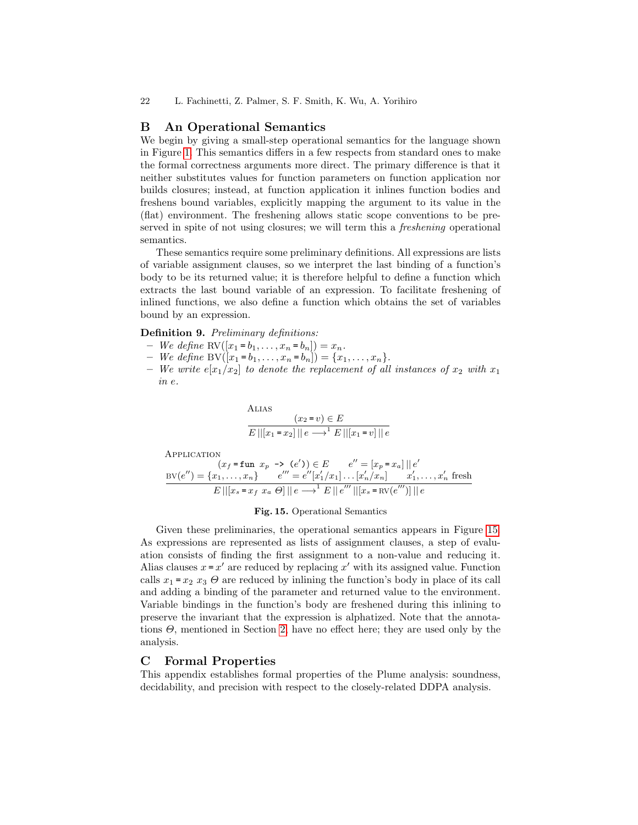# <span id="page-21-0"></span>B An Operational Semantics

We begin by giving a small-step operational semantics for the language shown in Figure [1.](#page-2-1) This semantics differs in a few respects from standard ones to make the formal correctness arguments more direct. The primary difference is that it neither substitutes values for function parameters on function application nor builds closures; instead, at function application it inlines function bodies and freshens bound variables, explicitly mapping the argument to its value in the (flat) environment. The freshening allows static scope conventions to be preserved in spite of not using closures; we will term this a freshening operational semantics.

These semantics require some preliminary definitions. All expressions are lists of variable assignment clauses, so we interpret the last binding of a function's body to be its returned value; it is therefore helpful to define a function which extracts the last bound variable of an expression. To facilitate freshening of inlined functions, we also define a function which obtains the set of variables bound by an expression.

# Definition 9. Preliminary definitions:

- We define  $RV([x_1 = b_1, ..., x_n = b_n]) = x_n$ .
- We define  $BV([x_1 = b_1, \ldots, x_n = b_n]) = \{x_1, \ldots, x_n\}.$
- We write  $e[x_1/x_2]$  to denote the replacement of all instances of  $x_2$  with  $x_1$ in e.

ALIAS  
\n
$$
(x_2 = v) \in E
$$
  
\n $E ||[x_1 = x_2] || e \longrightarrow^1 E ||[x_1 = v] || e$ 

**APPLICATION** 

$$
(x_f = \text{fun } x_p \rightarrow (e')) \in E \qquad e'' = [x_p = x_a] || e'
$$
  

$$
\frac{\text{BV}(e'') = \{x_1, \dots, x_n\} \qquad e''' = e'' [x'_1/x_1] \dots [x'_n/x_n] \qquad x'_1, \dots, x'_n \text{ fresh}}{E ||[x_s = x_f \ x_a \ \Theta] || e \longrightarrow^1 E || e''' ||[x_s = \text{RV}(e''')] || e}
$$

#### <span id="page-21-1"></span>Fig. 15. Operational Semantics

Given these preliminaries, the operational semantics appears in Figure [15.](#page-21-1) As expressions are represented as lists of assignment clauses, a step of evaluation consists of finding the first assignment to a non-value and reducing it. Alias clauses  $x = x'$  are reduced by replacing x' with its assigned value. Function calls  $x_1 = x_2$   $x_3 \Theta$  are reduced by inlining the function's body in place of its call and adding a binding of the parameter and returned value to the environment. Variable bindings in the function's body are freshened during this inlining to preserve the invariant that the expression is alphatized. Note that the annotations  $\Theta$ , mentioned in Section [2,](#page-2-0) have no effect here; they are used only by the analysis.

# C Formal Properties

This appendix establishes formal properties of the Plume analysis: soundness, decidability, and precision with respect to the closely-related DDPA analysis.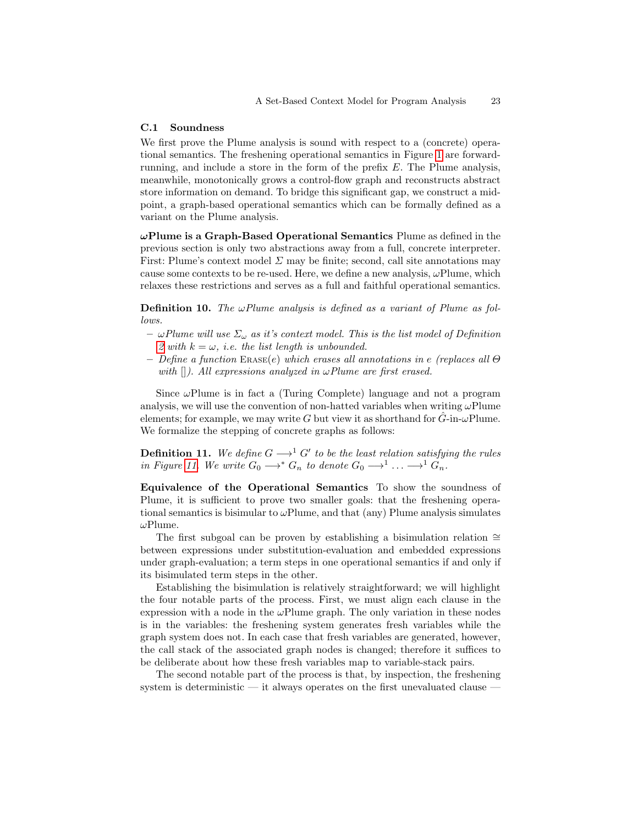#### <span id="page-22-0"></span>C.1 Soundness

We first prove the Plume analysis is sound with respect to a (concrete) operational semantics. The freshening operational semantics in Figure [1](#page-2-1) are forwardrunning, and include a store in the form of the prefix  $E$ . The Plume analysis, meanwhile, monotonically grows a control-flow graph and reconstructs abstract store information on demand. To bridge this significant gap, we construct a midpoint, a graph-based operational semantics which can be formally defined as a variant on the Plume analysis.

 $\omega$ Plume is a Graph-Based Operational Semantics Plume as defined in the previous section is only two abstractions away from a full, concrete interpreter. First: Plume's context model  $\Sigma$  may be finite; second, call site annotations may cause some contexts to be re-used. Here, we define a new analysis,  $\omega$ Plume, which relaxes these restrictions and serves as a full and faithful operational semantics.

**Definition 10.** The  $\omega$ Plume analysis is defined as a variant of Plume as follows.

- $\omega$ Plume will use  $\Sigma_{\omega}$  as it's context model. This is the list model of Definition [2](#page-7-3) with  $k = \omega$ , i.e. the list length is unbounded.
- $–$  Define a function Erassackee) which erases all annotations in e (replaces all  $\Theta$ with  $\Box$ ). All expressions analyzed in  $\omega$ Plume are first erased.

Since  $\omega$ Plume is in fact a (Turing Complete) language and not a program analysis, we will use the convention of non-hatted variables when writing  $\omega$ Plume elements; for example, we may write G but view it as shorthand for  $\tilde{G}$ -in- $\omega$ Plume. We formalize the stepping of concrete graphs as follows:

**Definition 11.** We define  $G \longrightarrow^1 G'$  to be the least relation satisfying the rules in Figure [11.](#page-10-1) We write  $G_0 \longrightarrow^* G_n$  to denote  $G_0 \longrightarrow^1 \ldots \longrightarrow^1 G_n$ .

Equivalence of the Operational Semantics To show the soundness of Plume, it is sufficient to prove two smaller goals: that the freshening operational semantics is bisimular to  $\omega$ Plume, and that (any) Plume analysis simulates  $\omega$ Plume.

The first subgoal can be proven by establishing a bisimulation relation ≅ between expressions under substitution-evaluation and embedded expressions under graph-evaluation; a term steps in one operational semantics if and only if its bisimulated term steps in the other.

Establishing the bisimulation is relatively straightforward; we will highlight the four notable parts of the process. First, we must align each clause in the expression with a node in the  $\omega$ Plume graph. The only variation in these nodes is in the variables: the freshening system generates fresh variables while the graph system does not. In each case that fresh variables are generated, however, the call stack of the associated graph nodes is changed; therefore it suffices to be deliberate about how these fresh variables map to variable-stack pairs.

The second notable part of the process is that, by inspection, the freshening system is deterministic  $-$  it always operates on the first unevaluated clause  $-$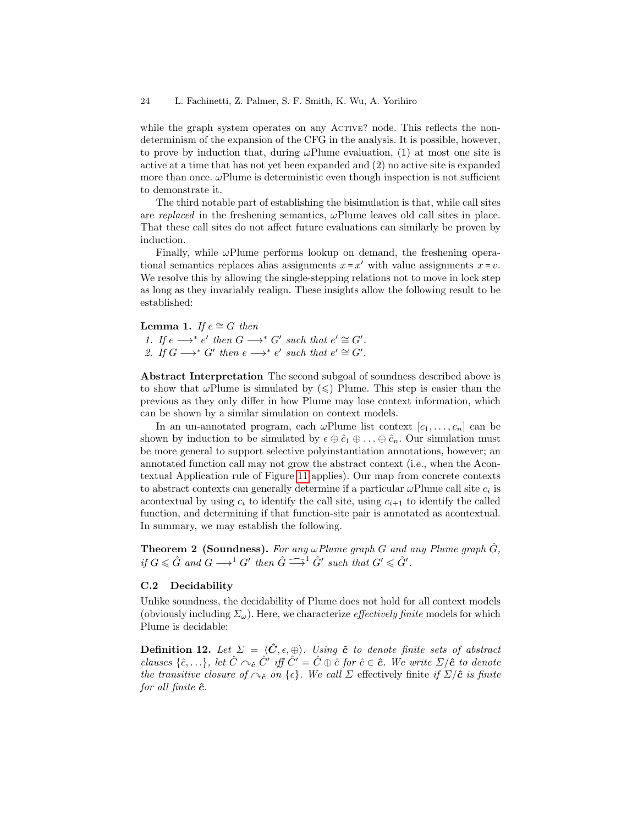while the graph system operates on any Active? node. This reflects the nondeterminism of the expansion of the CFG in the analysis. It is possible, however, to prove by induction that, during  $\omega$ Plume evaluation, (1) at most one site is active at a time that has not yet been expanded and (2) no active site is expanded more than once.  $\omega$ Plume is deterministic even though inspection is not sufficient to demonstrate it.

The third notable part of establishing the bisimulation is that, while call sites are replaced in the freshening semantics,  $\omega$ Plume leaves old call sites in place. That these call sites do not affect future evaluations can similarly be proven by induction.

Finally, while  $\omega$ Plume performs lookup on demand, the freshening operational semantics replaces alias assignments  $x = x'$  with value assignments  $x = v$ . We resolve this by allowing the single-stepping relations not to move in lock step as long as they invariably realign. These insights allow the following result to be established:

Lemma 1. If  $e \cong G$  then 1. If  $e \longrightarrow^* e'$  then  $G \longrightarrow^* G'$  such that  $e' \cong G'$ . 2. If  $G \longrightarrow^* G'$  then  $e \longrightarrow^* e'$  such that  $e' \cong G'$ .

Abstract Interpretation The second subgoal of soundness described above is to show that  $\omega$ Plume is simulated by  $(\leq)$  Plume. This step is easier than the previous as they only differ in how Plume may lose context information, which can be shown by a similar simulation on context models.

In an un-annotated program, each  $\omega$ Plume list context  $[c_1, \ldots, c_n]$  can be shown by induction to be simulated by  $\epsilon \oplus \hat{c}_1 \oplus \ldots \oplus \hat{c}_n$ . Our simulation must be more general to support selective polyinstantiation annotations, however; an annotated function call may not grow the abstract context (i.e., when the Acontextual Application rule of Figure [11](#page-10-1) applies). Our map from concrete contexts to abstract contexts can generally determine if a particular  $\omega$ Plume call site  $c_i$  is acontextual by using  $c_i$  to identify the call site, using  $c_{i+1}$  to identify the called function, and determining if that function-site pair is annotated as acontextual. In summary, we may establish the following.

**Theorem 2 (Soundness).** For any  $\omega$ Plume graph G and any Plume graph  $\hat{G}$ , if  $G \leq \hat{G}$  and  $G \longrightarrow^1 G'$  then  $\hat{G} \widehat{\longrightarrow}^1 \hat{G}'$  such that  $G' \leq \hat{G}'$ .

### <span id="page-23-0"></span>C.2 Decidability

Unlike soundness, the decidability of Plume does not hold for all context models (obviously including  $\Sigma_{\omega}$ ). Here, we characterize *effectively finite* models for which Plume is decidable:

**Definition 12.** Let  $\Sigma = \langle \hat{C}, \epsilon, \oplus \rangle$ . Using  $\hat{c}$  to denote finite sets of abstract clauses  $\{\hat{c},...\}$ , let  $\hat{C} \cap \hat{c} \hat{C}'$  iff  $\hat{C}' = \hat{C} \oplus \hat{c}$  for  $\hat{c} \in \hat{c}$ . We write  $\Sigma/\hat{c}$  to denote the transitive closure of  $\sim_{\hat{\mathbf{c}}}$  on { $\epsilon$ }. We call  $\Sigma$  effectively finite if  $\Sigma/\hat{\mathbf{c}}$  is finite for all finite  $\hat{c}$ .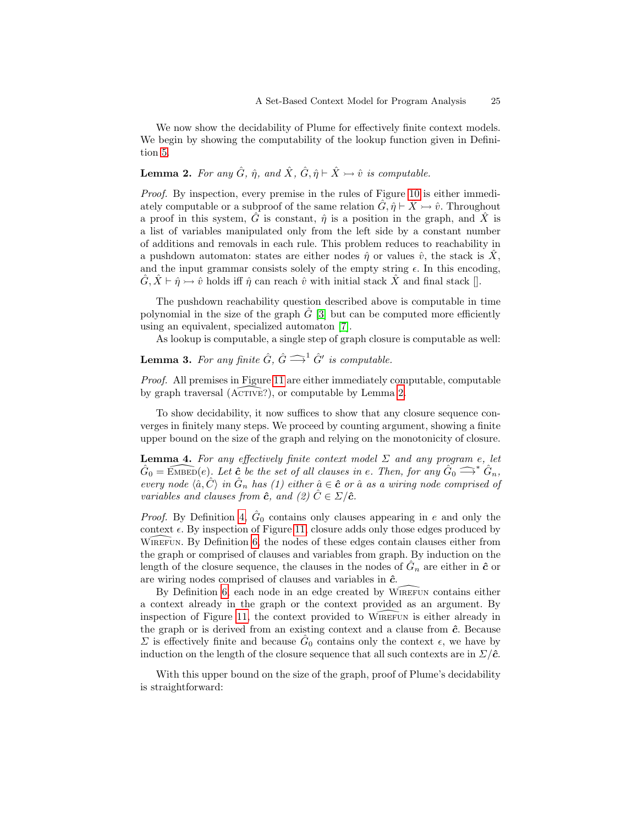We now show the decidability of Plume for effectively finite context models. We begin by showing the computability of the lookup function given in Definition [5.](#page-8-2)

# <span id="page-24-0"></span>**Lemma 2.** For any  $\hat{G}$ ,  $\hat{\eta}$ , and  $\hat{X}$ ,  $\hat{G}$ ,  $\hat{\eta} \vdash \hat{X} \rightarrow \hat{v}$  is computable.

Proof. By inspection, every premise in the rules of Figure [10](#page-9-0) is either immediately computable or a subproof of the same relation  $\hat{G}, \hat{\eta} \vdash \hat{X} \rightarrow \hat{v}$ . Throughout a proof in this system,  $\hat{G}$  is constant,  $\hat{\eta}$  is a position in the graph, and  $\hat{X}$  is a list of variables manipulated only from the left side by a constant number of additions and removals in each rule. This problem reduces to reachability in a pushdown automaton: states are either nodes  $\hat{\eta}$  or values  $\hat{v}$ , the stack is  $\hat{X}$ , and the input grammar consists solely of the empty string  $\epsilon$ . In this encoding,  $\hat{G}, \hat{X} \vdash \hat{\eta} \rightarrow \hat{v}$  holds iff  $\hat{\eta}$  can reach  $\hat{v}$  with initial stack  $\hat{X}$  and final stack [].

The pushdown reachability question described above is computable in time polynomial in the size of the graph  $\tilde{G}$  [\[3\]](#page-17-8) but can be computed more efficiently using an equivalent, specialized automaton [\[7\]](#page-17-2).

As lookup is computable, a single step of graph closure is computable as well:

<span id="page-24-1"></span>**Lemma 3.** For any finite  $\hat{G}$ ,  $\hat{G} \implies \hat{G}'$  is computable.

Proof. All premises in Figure [11](#page-10-1) are either immediately computable, computable by graph traversal (ACTIVE?), or computable by Lemma [2.](#page-24-0)

To show decidability, it now suffices to show that any closure sequence converges in finitely many steps. We proceed by counting argument, showing a finite upper bound on the size of the graph and relying on the monotonicity of closure.

<span id="page-24-2"></span>**Lemma 4.** For any effectively finite context model  $\Sigma$  and any program e, let  $\hat{G}_0 = \widehat{\text{Knse}}(e)$ . Let  $\hat{e}$  be the set of all clauses in e. Then, for any  $\hat{G}_0 \stackrel{\longrightarrow}{\longrightarrow} \hat{G}_n$ ,<br>general node  $\hat{G}$ ,  $\hat{G}$ , here (1) either  $\hat{a} \in \hat{G}$  are  $\hat{a}$  as a swimp node communical of every node  $\langle \hat{a}, \hat{C} \rangle$  in  $\hat{G}_n$  has (1) either  $\hat{a} \in \hat{\mathbf{c}}$  or  $\hat{a}$  as a wiring node comprised of variables and clauses from  $\hat{c}$ , and  $(2)$   $\hat{C} \in \Sigma/\hat{c}$ .

*Proof.* By Definition [4,](#page-7-4)  $\hat{G}_0$  contains only clauses appearing in e and only the context  $\epsilon$ . By inspection of Figure [11,](#page-10-1) closure adds only those edges produced by Wirefun. By Definition [6,](#page-9-1) the nodes of these edges contain clauses either from the graph or comprised of clauses and variables from graph. By induction on the length of the closure sequence, the clauses in the nodes of  $G_n$  are either in  $\hat{c}$  or are wiring nodes comprised of clauses and variables in  $\hat{c}$ .

By Definition [6,](#page-9-1) each node in an edge created by WIREFUN contains either a context already in the graph or the context provided as an argument. By inspection of Figure [11,](#page-10-1) the context provided to  $\dot{W}_{IREF}$  is either already in the graph or is derived from an existing context and a clause from  $\hat{c}$ . Because  $\Sigma$  is effectively finite and because  $\hat{G}_0$  contains only the context  $\epsilon$ , we have by induction on the length of the closure sequence that all such contexts are in  $\Sigma/\hat{c}$ .

With this upper bound on the size of the graph, proof of Plume's decidability is straightforward: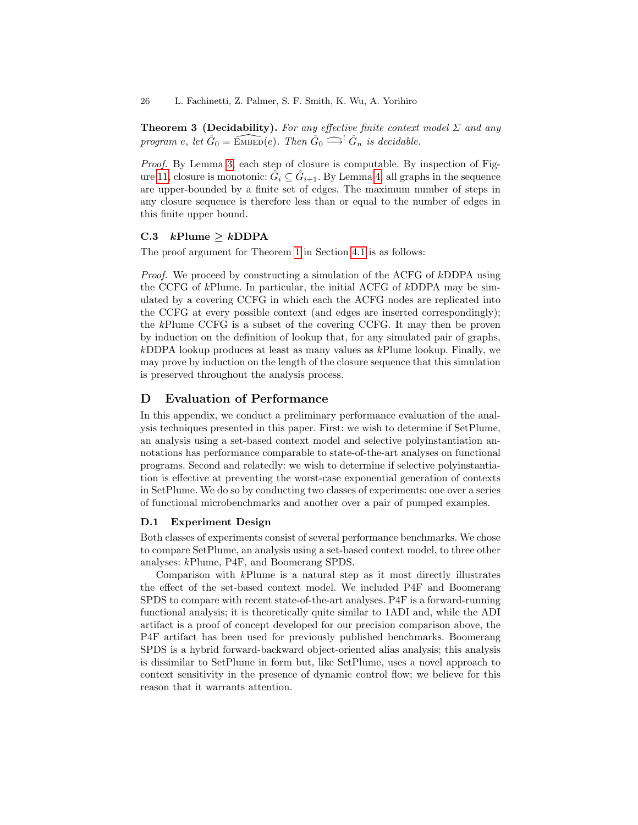**Theorem 3 (Decidability).** For any effective finite context model  $\Sigma$  and any program e, let  $\hat{G}_0 = \widehat{\text{EMBED}}(e)$ . Then  $\hat{G}_0 \implies \hat{G}_n$  is decidable.

Proof. By Lemma [3,](#page-24-1) each step of closure is computable. By inspection of Fig-ure [11,](#page-10-1) closure is monotonic:  $\tilde{G}_i \subseteq \hat{G}_{i+1}$ . By Lemma [4,](#page-24-2) all graphs in the sequence are upper-bounded by a finite set of edges. The maximum number of steps in any closure sequence is therefore less than or equal to the number of edges in this finite upper bound.

# <span id="page-25-1"></span>C.3  $k$ Plume >  $k$ DDPA

The proof argument for Theorem [1](#page-11-1) in Section [4.1](#page-11-0) is as follows:

Proof. We proceed by constructing a simulation of the ACFG of kDDPA using the CCFG of kPlume. In particular, the initial ACFG of kDDPA may be simulated by a covering CCFG in which each the ACFG nodes are replicated into the CCFG at every possible context (and edges are inserted correspondingly); the kPlume CCFG is a subset of the covering CCFG. It may then be proven by induction on the definition of lookup that, for any simulated pair of graphs,  $k$ DDPA lookup produces at least as many values as  $k$ Plume lookup. Finally, we may prove by induction on the length of the closure sequence that this simulation is preserved throughout the analysis process.

# <span id="page-25-0"></span>D Evaluation of Performance

In this appendix, we conduct a preliminary performance evaluation of the analysis techniques presented in this paper. First: we wish to determine if SetPlume, an analysis using a set-based context model and selective polyinstantiation annotations has performance comparable to state-of-the-art analyses on functional programs. Second and relatedly: we wish to determine if selective polyinstantiation is effective at preventing the worst-case exponential generation of contexts in SetPlume. We do so by conducting two classes of experiments: one over a series of functional microbenchmarks and another over a pair of pumped examples.

### D.1 Experiment Design

Both classes of experiments consist of several performance benchmarks. We chose to compare SetPlume, an analysis using a set-based context model, to three other analyses: kPlume, P4F, and Boomerang SPDS.

Comparison with kPlume is a natural step as it most directly illustrates the effect of the set-based context model. We included P4F and Boomerang SPDS to compare with recent state-of-the-art analyses. P4F is a forward-running functional analysis; it is theoretically quite similar to 1ADI and, while the ADI artifact is a proof of concept developed for our precision comparison above, the P4F artifact has been used for previously published benchmarks. Boomerang SPDS is a hybrid forward-backward object-oriented alias analysis; this analysis is dissimilar to SetPlume in form but, like SetPlume, uses a novel approach to context sensitivity in the presence of dynamic control flow; we believe for this reason that it warrants attention.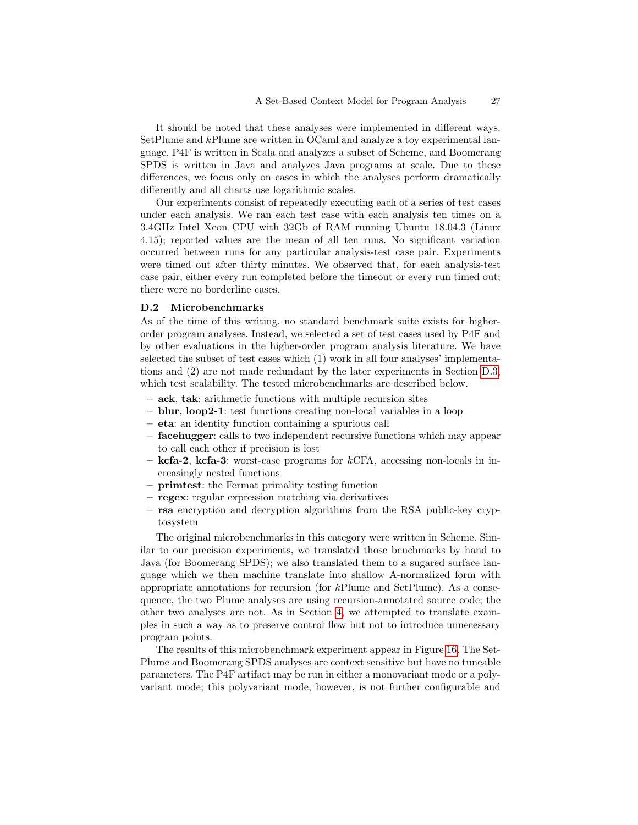It should be noted that these analyses were implemented in different ways. SetPlume and kPlume are written in OCaml and analyze a toy experimental language, P4F is written in Scala and analyzes a subset of Scheme, and Boomerang SPDS is written in Java and analyzes Java programs at scale. Due to these differences, we focus only on cases in which the analyses perform dramatically differently and all charts use logarithmic scales.

Our experiments consist of repeatedly executing each of a series of test cases under each analysis. We ran each test case with each analysis ten times on a 3.4GHz Intel Xeon CPU with 32Gb of RAM running Ubuntu 18.04.3 (Linux 4.15); reported values are the mean of all ten runs. No significant variation occurred between runs for any particular analysis-test case pair. Experiments were timed out after thirty minutes. We observed that, for each analysis-test case pair, either every run completed before the timeout or every run timed out; there were no borderline cases.

# D.2 Microbenchmarks

As of the time of this writing, no standard benchmark suite exists for higherorder program analyses. Instead, we selected a set of test cases used by P4F and by other evaluations in the higher-order program analysis literature. We have selected the subset of test cases which (1) work in all four analyses' implementations and (2) are not made redundant by the later experiments in Section [D.3,](#page-27-0) which test scalability. The tested microbenchmarks are described below.

- ack, tak: arithmetic functions with multiple recursion sites
- blur, loop2-1: test functions creating non-local variables in a loop
- eta: an identity function containing a spurious call
- facehugger: calls to two independent recursive functions which may appear to call each other if precision is lost
- $-$  kcfa-2, kcfa-3: worst-case programs for kCFA, accessing non-locals in increasingly nested functions
- primtest: the Fermat primality testing function
- regex: regular expression matching via derivatives
- rsa encryption and decryption algorithms from the RSA public-key cryptosystem

The original microbenchmarks in this category were written in Scheme. Similar to our precision experiments, we translated those benchmarks by hand to Java (for Boomerang SPDS); we also translated them to a sugared surface language which we then machine translate into shallow A-normalized form with appropriate annotations for recursion (for kPlume and SetPlume). As a consequence, the two Plume analyses are using recursion-annotated source code; the other two analyses are not. As in Section [4,](#page-10-0) we attempted to translate examples in such a way as to preserve control flow but not to introduce unnecessary program points.

The results of this microbenchmark experiment appear in Figure [16.](#page-27-1) The Set-Plume and Boomerang SPDS analyses are context sensitive but have no tuneable parameters. The P4F artifact may be run in either a monovariant mode or a polyvariant mode; this polyvariant mode, however, is not further configurable and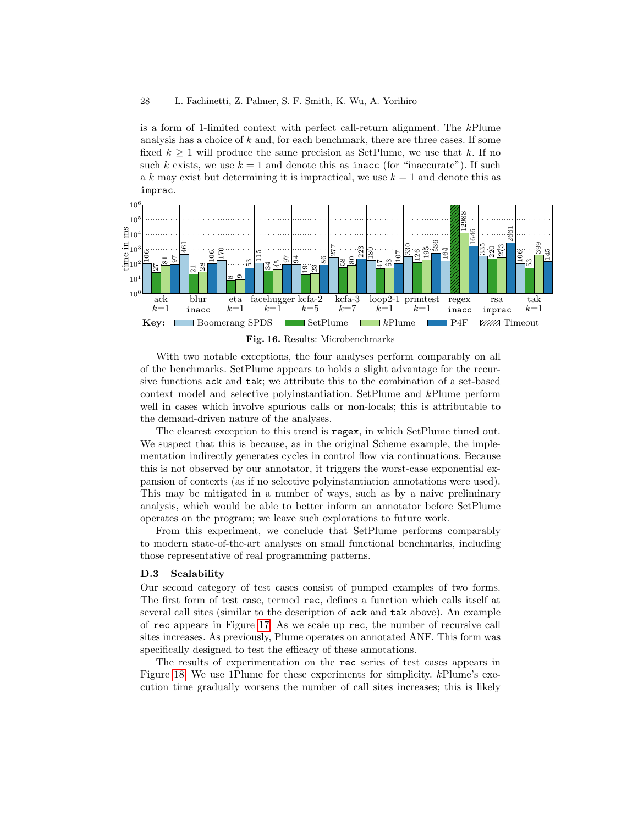#### 28 L. Fachinetti, Z. Palmer, S. F. Smith, K. Wu, A. Yorihiro

is a form of 1-limited context with perfect call-return alignment. The kPlume analysis has a choice of  $k$  and, for each benchmark, there are three cases. If some fixed  $k \geq 1$  will produce the same precision as SetPlume, we use that k. If no such k exists, we use  $k = 1$  and denote this as inacc (for "inaccurate"). If such a k may exist but determining it is impractical, we use  $k = 1$  and denote this as imprac.



<span id="page-27-1"></span>Fig. 16. Results: Microbenchmarks

With two notable exceptions, the four analyses perform comparably on all of the benchmarks. SetPlume appears to holds a slight advantage for the recursive functions ack and tak; we attribute this to the combination of a set-based context model and selective polyinstantiation. SetPlume and kPlume perform well in cases which involve spurious calls or non-locals; this is attributable to the demand-driven nature of the analyses.

The clearest exception to this trend is regex, in which SetPlume timed out. We suspect that this is because, as in the original Scheme example, the implementation indirectly generates cycles in control flow via continuations. Because this is not observed by our annotator, it triggers the worst-case exponential expansion of contexts (as if no selective polyinstantiation annotations were used). This may be mitigated in a number of ways, such as by a naive preliminary analysis, which would be able to better inform an annotator before SetPlume operates on the program; we leave such explorations to future work.

From this experiment, we conclude that SetPlume performs comparably to modern state-of-the-art analyses on small functional benchmarks, including those representative of real programming patterns.

#### <span id="page-27-0"></span>D.3 Scalability

Our second category of test cases consist of pumped examples of two forms. The first form of test case, termed rec, defines a function which calls itself at several call sites (similar to the description of ack and tak above). An example of rec appears in Figure [17.](#page-28-0) As we scale up rec, the number of recursive call sites increases. As previously, Plume operates on annotated ANF. This form was specifically designed to test the efficacy of these annotations.

The results of experimentation on the rec series of test cases appears in Figure [18.](#page-28-1) We use 1Plume for these experiments for simplicity. kPlume's execution time gradually worsens the number of call sites increases; this is likely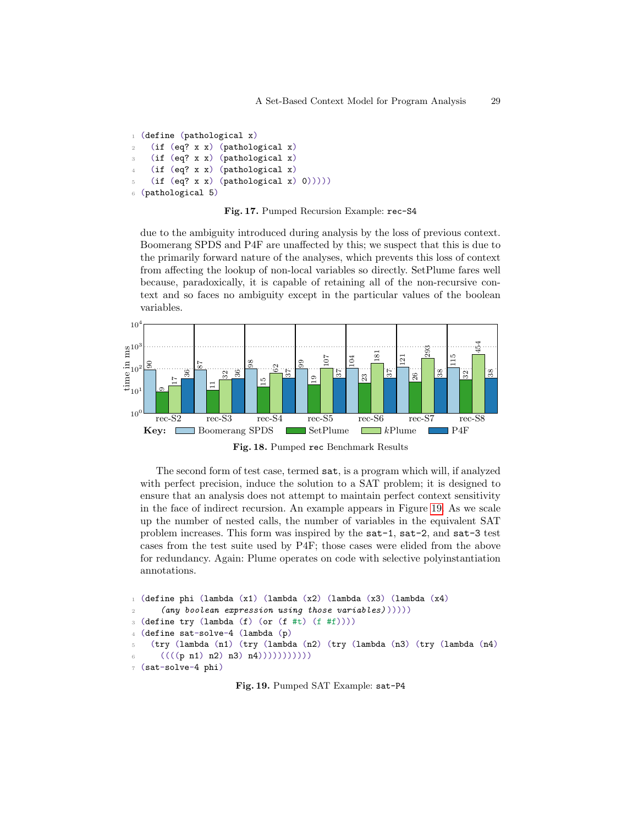```
1 (define (pathological x)
2 (if (eq? x x) (pathological x)
3 (if (eq? x x) (pathological x)
   (if (eq? x x) (pathological x)5 (if (eq? x x) (pathological x) 0)))))
6 (pathological 5)
```
<span id="page-28-0"></span>Fig. 17. Pumped Recursion Example: rec-S4

due to the ambiguity introduced during analysis by the loss of previous context. Boomerang SPDS and P4F are unaffected by this; we suspect that this is due to the primarily forward nature of the analyses, which prevents this loss of context from affecting the lookup of non-local variables so directly. SetPlume fares well because, paradoxically, it is capable of retaining all of the non-recursive context and so faces no ambiguity except in the particular values of the boolean variables.



<span id="page-28-1"></span>Fig. 18. Pumped rec Benchmark Results

The second form of test case, termed sat, is a program which will, if analyzed with perfect precision, induce the solution to a SAT problem; it is designed to ensure that an analysis does not attempt to maintain perfect context sensitivity in the face of indirect recursion. An example appears in Figure [19.](#page-28-2) As we scale up the number of nested calls, the number of variables in the equivalent SAT problem increases. This form was inspired by the sat-1, sat-2, and sat-3 test cases from the test suite used by P4F; those cases were elided from the above for redundancy. Again: Plume operates on code with selective polyinstantiation annotations.

```
1 (define phi (lambda (x1) (lambda (x2) (lambda (x3) (lambda (x4)
2 (any boolean expression using those variables) )))))
3 (define try (lambda (f) (or (f #t) (f #f))))
4 (define sat-solve-4 (lambda (p)
5 (try (lambda (n1) (try (lambda (n2) (try (lambda (n3) (try (lambda (n4)
      (((p n1) n2) n3) n4)))))))))))7 (sat-solve-4 phi)
```
<span id="page-28-2"></span>Fig. 19. Pumped SAT Example: sat-P4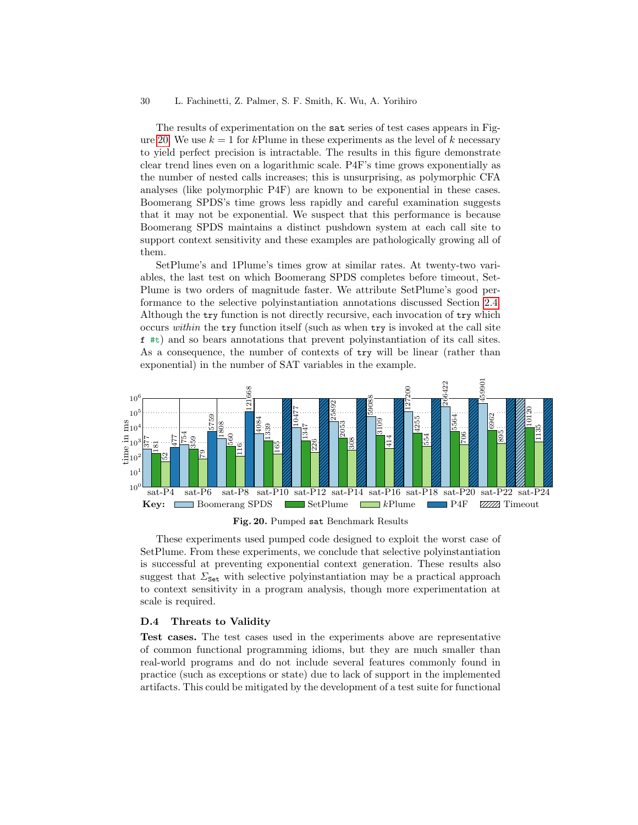#### 30 L. Fachinetti, Z. Palmer, S. F. Smith, K. Wu, A. Yorihiro

The results of experimentation on the sat series of test cases appears in Fig-ure [20.](#page-29-0) We use  $k = 1$  for kPlume in these experiments as the level of k necessary to yield perfect precision is intractable. The results in this figure demonstrate clear trend lines even on a logarithmic scale. P4F's time grows exponentially as the number of nested calls increases; this is unsurprising, as polymorphic CFA analyses (like polymorphic P4F) are known to be exponential in these cases. Boomerang SPDS's time grows less rapidly and careful examination suggests that it may not be exponential. We suspect that this performance is because Boomerang SPDS maintains a distinct pushdown system at each call site to support context sensitivity and these examples are pathologically growing all of them.

SetPlume's and 1Plume's times grow at similar rates. At twenty-two variables, the last test on which Boomerang SPDS completes before timeout, Set-Plume is two orders of magnitude faster. We attribute SetPlume's good performance to the selective polyinstantiation annotations discussed Section [2.4.](#page-5-0) Although the try function is not directly recursive, each invocation of try which occurs within the try function itself (such as when try is invoked at the call site f #t) and so bears annotations that prevent polyinstantiation of its call sites. As a consequence, the number of contexts of try will be linear (rather than exponential) in the number of SAT variables in the example.



<span id="page-29-0"></span>Fig. 20. Pumped sat Benchmark Results

These experiments used pumped code designed to exploit the worst case of SetPlume. From these experiments, we conclude that selective polyinstantiation is successful at preventing exponential context generation. These results also suggest that  $\Sigma_{\text{Set}}$  with selective polyinstantiation may be a practical approach to context sensitivity in a program analysis, though more experimentation at scale is required.

### D.4 Threats to Validity

Test cases. The test cases used in the experiments above are representative of common functional programming idioms, but they are much smaller than real-world programs and do not include several features commonly found in practice (such as exceptions or state) due to lack of support in the implemented artifacts. This could be mitigated by the development of a test suite for functional